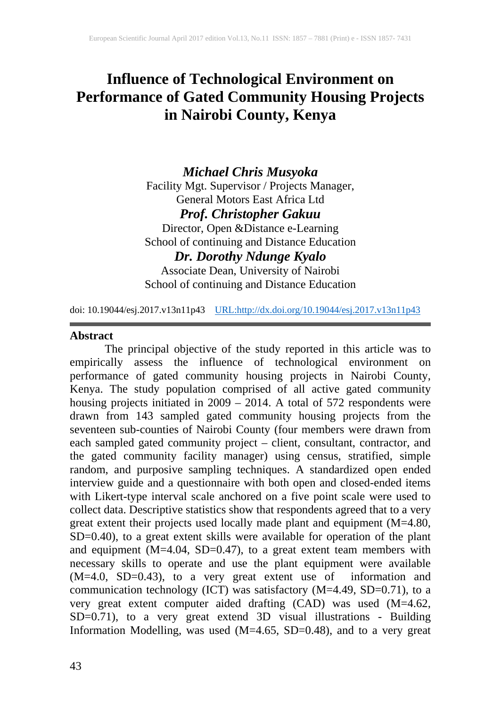## **Influence of Technological Environment on Performance of Gated Community Housing Projects in Nairobi County, Kenya**

*Michael Chris Musyoka* Facility Mgt. Supervisor / Projects Manager, General Motors East Africa Ltd *Prof. Christopher Gakuu* Director, Open &Distance e-Learning School of continuing and Distance Education *Dr. Dorothy Ndunge Kyalo*

Associate Dean, University of Nairobi School of continuing and Distance Education

doi: 10.19044/esj.2017.v13n11p43 [URL:http://dx.doi.org/10.19044/esj.2017.v13n11p43](http://dx.doi.org/10.19044/esj.2017.v13n11p43)

## **Abstract**

The principal objective of the study reported in this article was to empirically assess the influence of technological environment on performance of gated community housing projects in Nairobi County, Kenya. The study population comprised of all active gated community housing projects initiated in 2009 – 2014. A total of 572 respondents were drawn from 143 sampled gated community housing projects from the seventeen sub-counties of Nairobi County (four members were drawn from each sampled gated community project – client, consultant, contractor, and the gated community facility manager) using census, stratified, simple random, and purposive sampling techniques. A standardized open ended interview guide and a questionnaire with both open and closed-ended items with Likert-type interval scale anchored on a five point scale were used to collect data. Descriptive statistics show that respondents agreed that to a very great extent their projects used locally made plant and equipment (M=4.80, SD=0.40), to a great extent skills were available for operation of the plant and equipment (M=4.04, SD=0.47), to a great extent team members with necessary skills to operate and use the plant equipment were available (M=4.0, SD=0.43), to a very great extent use of information and communication technology (ICT) was satisfactory (M=4.49, SD=0.71), to a very great extent computer aided drafting (CAD) was used (M=4.62, SD=0.71), to a very great extend 3D visual illustrations - Building Information Modelling, was used (M=4.65, SD=0.48), and to a very great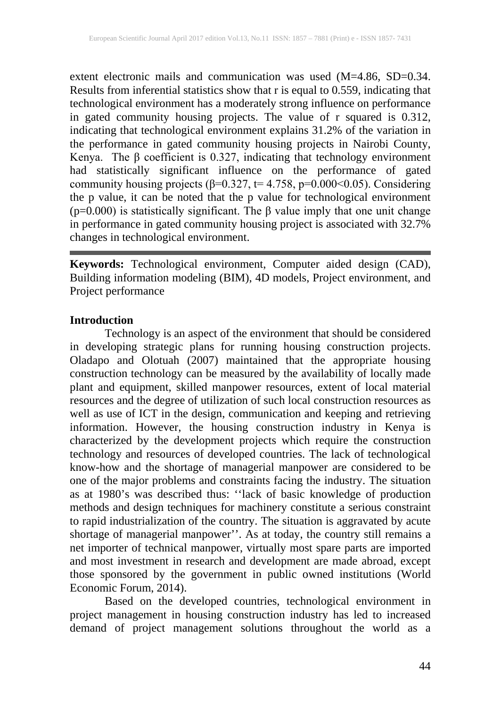extent electronic mails and communication was used (M=4.86, SD=0.34. Results from inferential statistics show that r is equal to 0.559, indicating that technological environment has a moderately strong influence on performance in gated community housing projects. The value of r squared is 0.312, indicating that technological environment explains 31.2% of the variation in the performance in gated community housing projects in Nairobi County, Kenya. The β coefficient is 0.327, indicating that technology environment had statistically significant influence on the performance of gated community housing projects ( $\beta$ =0.327, t= 4.758, p=0.000<0.05). Considering the p value, it can be noted that the p value for technological environment (p=0.000) is statistically significant. The β value imply that one unit change in performance in gated community housing project is associated with 32.7% changes in technological environment.

**Keywords:** Technological environment, Computer aided design (CAD), Building information modeling (BIM), 4D models, Project environment, and Project performance

#### **Introduction**

Technology is an aspect of the environment that should be considered in developing strategic plans for running housing construction projects. Oladapo and Olotuah (2007) maintained that the appropriate housing construction technology can be measured by the availability of locally made plant and equipment, skilled manpower resources, extent of local material resources and the degree of utilization of such local construction resources as well as use of ICT in the design, communication and keeping and retrieving information. However, the housing construction industry in Kenya is characterized by the development projects which require the construction technology and resources of developed countries. The lack of technological know-how and the shortage of managerial manpower are considered to be one of the major problems and constraints facing the industry. The situation as at 1980's was described thus: ''lack of basic knowledge of production methods and design techniques for machinery constitute a serious constraint to rapid industrialization of the country. The situation is aggravated by acute shortage of managerial manpower''. As at today, the country still remains a net importer of technical manpower, virtually most spare parts are imported and most investment in research and development are made abroad, except those sponsored by the government in public owned institutions (World Economic Forum, 2014).

Based on the developed countries, technological environment in project management in housing construction industry has led to increased demand of project management solutions throughout the world as a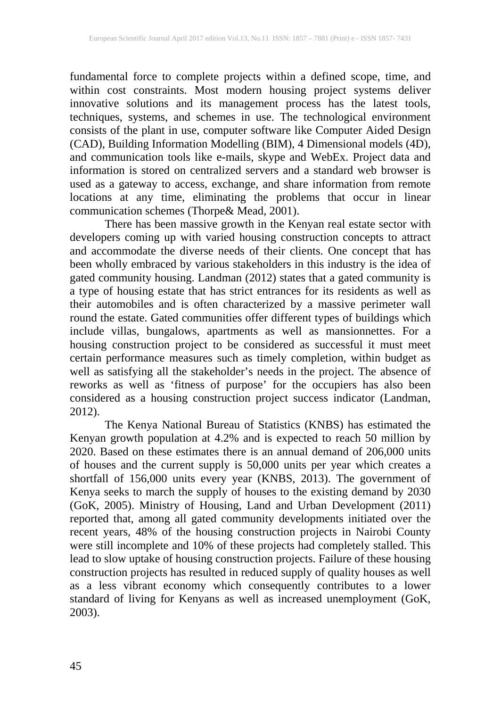fundamental force to complete projects within a defined scope, time, and within cost constraints. Most modern housing project systems deliver innovative solutions and its management process has the latest tools, techniques, systems, and schemes in use. The technological environment consists of the plant in use, computer software like Computer Aided Design (CAD), Building Information Modelling (BIM), 4 Dimensional models (4D), and communication tools like e-mails, skype and WebEx. Project data and information is stored on centralized servers and a standard web browser is used as a gateway to access, exchange, and share information from remote locations at any time, eliminating the problems that occur in linear communication schemes (Thorpe& Mead, 2001).

There has been massive growth in the Kenyan real estate sector with developers coming up with varied housing construction concepts to attract and accommodate the diverse needs of their clients. One concept that has been wholly embraced by various stakeholders in this industry is the idea of gated community housing. Landman (2012) states that a gated community is a type of housing estate that has strict entrances for its residents as well as their automobiles and is often characterized by a massive perimeter wall round the estate. Gated communities offer different types of buildings which include villas, bungalows, apartments as well as mansionnettes. For a housing construction project to be considered as successful it must meet certain performance measures such as timely completion, within budget as well as satisfying all the stakeholder's needs in the project. The absence of reworks as well as 'fitness of purpose' for the occupiers has also been considered as a housing construction project success indicator (Landman, 2012).

The Kenya National Bureau of Statistics (KNBS) has estimated the Kenyan growth population at 4.2% and is expected to reach 50 million by 2020. Based on these estimates there is an annual demand of 206,000 units of houses and the current supply is 50,000 units per year which creates a shortfall of 156,000 units every year (KNBS, 2013). The government of Kenya seeks to march the supply of houses to the existing demand by 2030 (GoK, 2005). Ministry of Housing, Land and Urban Development (2011) reported that, among all gated community developments initiated over the recent years, 48% of the housing construction projects in Nairobi County were still incomplete and 10% of these projects had completely stalled. This lead to slow uptake of housing construction projects. Failure of these housing construction projects has resulted in reduced supply of quality houses as well as a less vibrant economy which consequently contributes to a lower standard of living for Kenyans as well as increased unemployment (GoK, 2003).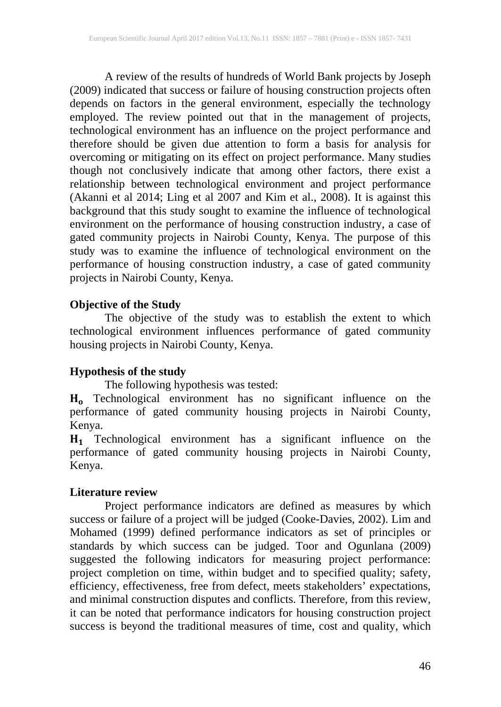A review of the results of hundreds of World Bank projects by Joseph (2009) indicated that success or failure of housing construction projects often depends on factors in the general environment, especially the technology employed. The review pointed out that in the management of projects, technological environment has an influence on the project performance and therefore should be given due attention to form a basis for analysis for overcoming or mitigating on its effect on project performance. Many studies though not conclusively indicate that among other factors, there exist a relationship between technological environment and project performance (Akanni et al 2014; Ling et al 2007 and Kim et al., 2008). It is against this background that this study sought to examine the influence of technological environment on the performance of housing construction industry, a case of gated community projects in Nairobi County, Kenya. The purpose of this study was to examine the influence of technological environment on the performance of housing construction industry, a case of gated community projects in Nairobi County, Kenya.

## **Objective of the Study**

The objective of the study was to establish the extent to which technological environment influences performance of gated community housing projects in Nairobi County, Kenya.

## **Hypothesis of the study**

The following hypothesis was tested:

 Technological environment has no significant influence on the performance of gated community housing projects in Nairobi County, Kenya.

 Technological environment has a significant influence on the performance of gated community housing projects in Nairobi County, Kenya.

## **Literature review**

Project performance indicators are defined as measures by which success or failure of a project will be judged (Cooke-Davies, 2002). Lim and Mohamed (1999) defined performance indicators as set of principles or standards by which success can be judged. Toor and Ogunlana (2009) suggested the following indicators for measuring project performance: project completion on time, within budget and to specified quality; safety, efficiency, effectiveness, free from defect, meets stakeholders' expectations, and minimal construction disputes and conflicts. Therefore, from this review, it can be noted that performance indicators for housing construction project success is beyond the traditional measures of time, cost and quality, which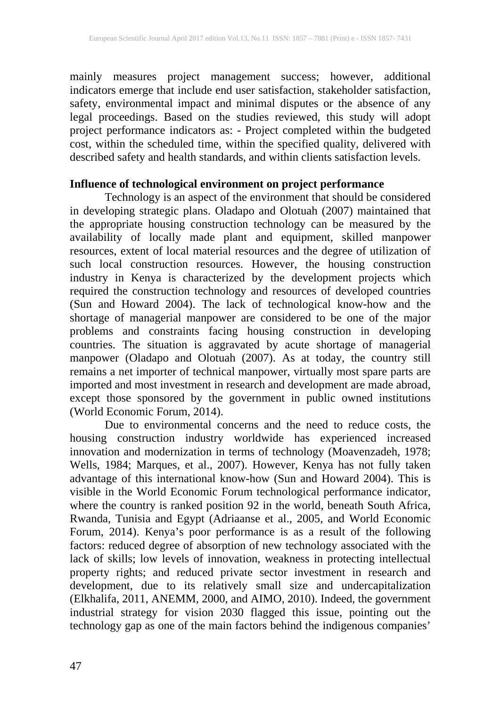mainly measures project management success; however, additional indicators emerge that include end user satisfaction, stakeholder satisfaction, safety, environmental impact and minimal disputes or the absence of any legal proceedings. Based on the studies reviewed, this study will adopt project performance indicators as: - Project completed within the budgeted cost, within the scheduled time, within the specified quality, delivered with described safety and health standards, and within clients satisfaction levels.

## **Influence of technological environment on project performance**

Technology is an aspect of the environment that should be considered in developing strategic plans. Oladapo and Olotuah (2007) maintained that the appropriate housing construction technology can be measured by the availability of locally made plant and equipment, skilled manpower resources, extent of local material resources and the degree of utilization of such local construction resources. However, the housing construction industry in Kenya is characterized by the development projects which required the construction technology and resources of developed countries (Sun and Howard 2004). The lack of technological know-how and the shortage of managerial manpower are considered to be one of the major problems and constraints facing housing construction in developing countries. The situation is aggravated by acute shortage of managerial manpower (Oladapo and Olotuah (2007). As at today, the country still remains a net importer of technical manpower, virtually most spare parts are imported and most investment in research and development are made abroad, except those sponsored by the government in public owned institutions (World Economic Forum, 2014).

Due to environmental concerns and the need to reduce costs, the housing construction industry worldwide has experienced increased innovation and modernization in terms of technology (Moavenzadeh, 1978; Wells, 1984; Marques, et al., 2007). However, Kenya has not fully taken advantage of this international know-how (Sun and Howard 2004). This is visible in the World Economic Forum technological performance indicator, where the country is ranked position 92 in the world, beneath South Africa, Rwanda, Tunisia and Egypt (Adriaanse et al., 2005, and World Economic Forum, 2014). Kenya's poor performance is as a result of the following factors: reduced degree of absorption of new technology associated with the lack of skills; low levels of innovation, weakness in protecting intellectual property rights; and reduced private sector investment in research and development, due to its relatively small size and undercapitalization (Elkhalifa, 2011, ANEMM, 2000, and AIMO, 2010). Indeed, the government industrial strategy for vision 2030 flagged this issue, pointing out the technology gap as one of the main factors behind the indigenous companies'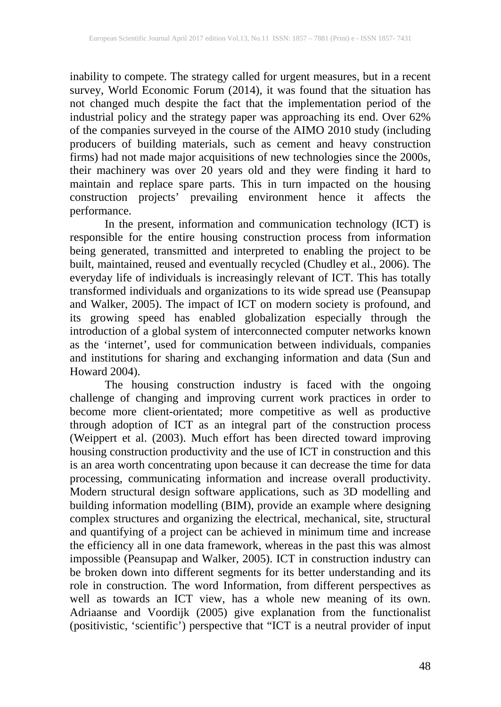inability to compete. The strategy called for urgent measures, but in a recent survey, World Economic Forum (2014), it was found that the situation has not changed much despite the fact that the implementation period of the industrial policy and the strategy paper was approaching its end. Over 62% of the companies surveyed in the course of the AIMO 2010 study (including producers of building materials, such as cement and heavy construction firms) had not made major acquisitions of new technologies since the 2000s, their machinery was over 20 years old and they were finding it hard to maintain and replace spare parts. This in turn impacted on the housing construction projects' prevailing environment hence it affects the performance.

In the present, information and communication technology (ICT) is responsible for the entire housing construction process from information being generated, transmitted and interpreted to enabling the project to be built, maintained, reused and eventually recycled (Chudley et al., 2006). The everyday life of individuals is increasingly relevant of ICT. This has totally transformed individuals and organizations to its wide spread use (Peansupap and Walker, 2005). The impact of ICT on modern society is profound, and its growing speed has enabled globalization especially through the introduction of a global system of interconnected computer networks known as the 'internet', used for communication between individuals, companies and institutions for sharing and exchanging information and data (Sun and Howard 2004).

The housing construction industry is faced with the ongoing challenge of changing and improving current work practices in order to become more client-orientated; more competitive as well as productive through adoption of ICT as an integral part of the construction process (Weippert et al. (2003). Much effort has been directed toward improving housing construction productivity and the use of ICT in construction and this is an area worth concentrating upon because it can decrease the time for data processing, communicating information and increase overall productivity. Modern structural design software applications, such as 3D modelling and building information modelling (BIM), provide an example where designing complex structures and organizing the electrical, mechanical, site, structural and quantifying of a project can be achieved in minimum time and increase the efficiency all in one data framework, whereas in the past this was almost impossible (Peansupap and Walker, 2005). ICT in construction industry can be broken down into different segments for its better understanding and its role in construction. The word Information, from different perspectives as well as towards an ICT view, has a whole new meaning of its own. Adriaanse and Voordijk (2005) give explanation from the functionalist (positivistic, 'scientific') perspective that "ICT is a neutral provider of input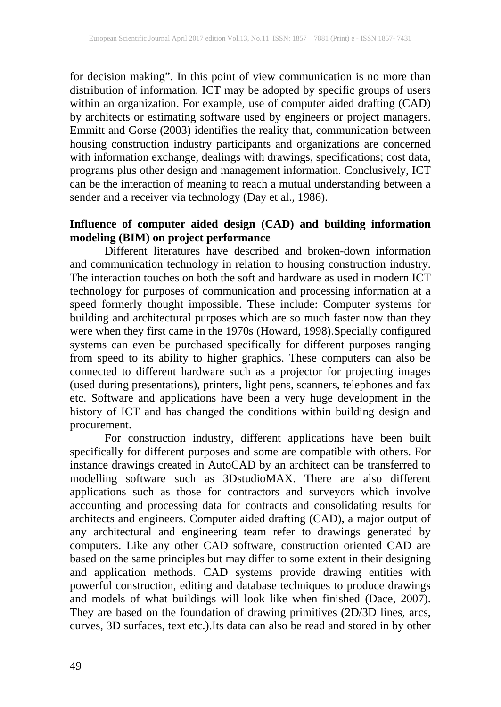for decision making". In this point of view communication is no more than distribution of information. ICT may be adopted by specific groups of users within an organization. For example, use of computer aided drafting (CAD) by architects or estimating software used by engineers or project managers. Emmitt and Gorse (2003) identifies the reality that, communication between housing construction industry participants and organizations are concerned with information exchange, dealings with drawings, specifications; cost data, programs plus other design and management information. Conclusively, ICT can be the interaction of meaning to reach a mutual understanding between a sender and a receiver via technology (Day et al., 1986).

## **Influence of computer aided design (CAD) and building information modeling (BIM) on project performance**

Different literatures have described and broken-down information and communication technology in relation to housing construction industry. The interaction touches on both the soft and hardware as used in modern ICT technology for purposes of communication and processing information at a speed formerly thought impossible. These include: Computer systems for building and architectural purposes which are so much faster now than they were when they first came in the 1970s (Howard, 1998).Specially configured systems can even be purchased specifically for different purposes ranging from speed to its ability to higher graphics. These computers can also be connected to different hardware such as a projector for projecting images (used during presentations), printers, light pens, scanners, telephones and fax etc. Software and applications have been a very huge development in the history of ICT and has changed the conditions within building design and procurement.

For construction industry, different applications have been built specifically for different purposes and some are compatible with others. For instance drawings created in AutoCAD by an architect can be transferred to modelling software such as 3DstudioMAX. There are also different applications such as those for contractors and surveyors which involve accounting and processing data for contracts and consolidating results for architects and engineers. Computer aided drafting (CAD), a major output of any architectural and engineering team refer to drawings generated by computers. Like any other CAD software, construction oriented CAD are based on the same principles but may differ to some extent in their designing and application methods. CAD systems provide drawing entities with powerful construction, editing and database techniques to produce drawings and models of what buildings will look like when finished (Dace, 2007). They are based on the foundation of drawing primitives (2D/3D lines, arcs, curves, 3D surfaces, text etc.).Its data can also be read and stored in by other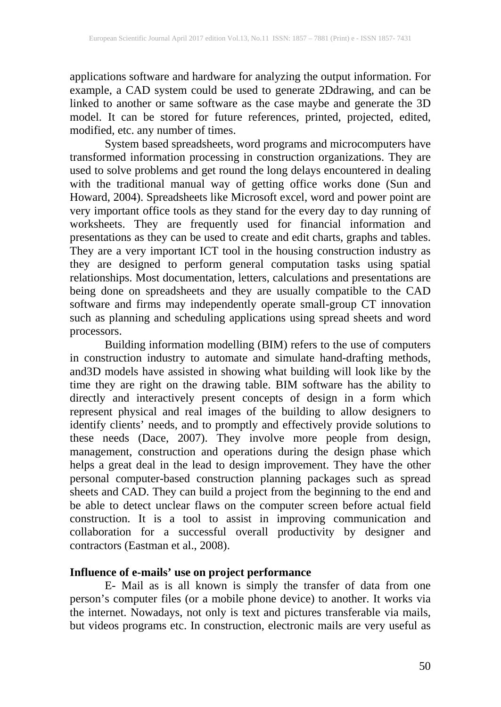applications software and hardware for analyzing the output information. For example, a CAD system could be used to generate 2Ddrawing, and can be linked to another or same software as the case maybe and generate the 3D model. It can be stored for future references, printed, projected, edited, modified, etc. any number of times.

System based spreadsheets, word programs and microcomputers have transformed information processing in construction organizations. They are used to solve problems and get round the long delays encountered in dealing with the traditional manual way of getting office works done (Sun and Howard, 2004). Spreadsheets like Microsoft excel, word and power point are very important office tools as they stand for the every day to day running of worksheets. They are frequently used for financial information and presentations as they can be used to create and edit charts, graphs and tables. They are a very important ICT tool in the housing construction industry as they are designed to perform general computation tasks using spatial relationships. Most documentation, letters, calculations and presentations are being done on spreadsheets and they are usually compatible to the CAD software and firms may independently operate small-group CT innovation such as planning and scheduling applications using spread sheets and word processors.

Building information modelling (BIM) refers to the use of computers in construction industry to automate and simulate hand-drafting methods, and3D models have assisted in showing what building will look like by the time they are right on the drawing table. BIM software has the ability to directly and interactively present concepts of design in a form which represent physical and real images of the building to allow designers to identify clients' needs, and to promptly and effectively provide solutions to these needs (Dace, 2007). They involve more people from design, management, construction and operations during the design phase which helps a great deal in the lead to design improvement. They have the other personal computer-based construction planning packages such as spread sheets and CAD. They can build a project from the beginning to the end and be able to detect unclear flaws on the computer screen before actual field construction. It is a tool to assist in improving communication and collaboration for a successful overall productivity by designer and contractors (Eastman et al., 2008).

## **Influence of e-mails' use on project performance**

E- Mail as is all known is simply the transfer of data from one person's computer files (or a mobile phone device) to another. It works via the internet. Nowadays, not only is text and pictures transferable via mails, but videos programs etc. In construction, electronic mails are very useful as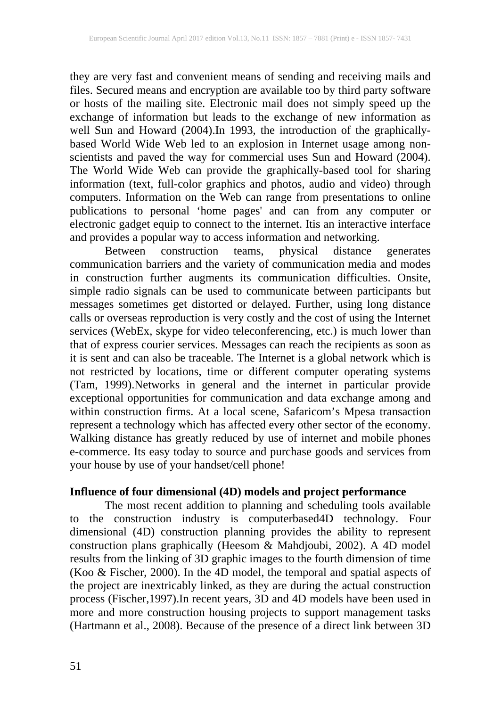they are very fast and convenient means of sending and receiving mails and files. Secured means and encryption are available too by third party software or hosts of the mailing site. Electronic mail does not simply speed up the exchange of information but leads to the exchange of new information as well Sun and Howard (2004).In 1993, the introduction of the graphicallybased World Wide Web led to an explosion in Internet usage among nonscientists and paved the way for commercial uses Sun and Howard (2004). The World Wide Web can provide the graphically-based tool for sharing information (text, full-color graphics and photos, audio and video) through computers. Information on the Web can range from presentations to online publications to personal 'home pages' and can from any computer or electronic gadget equip to connect to the internet. Itis an interactive interface and provides a popular way to access information and networking.

Between construction teams, physical distance generates communication barriers and the variety of communication media and modes in construction further augments its communication difficulties. Onsite, simple radio signals can be used to communicate between participants but messages sometimes get distorted or delayed. Further, using long distance calls or overseas reproduction is very costly and the cost of using the Internet services (WebEx, skype for video teleconferencing, etc.) is much lower than that of express courier services. Messages can reach the recipients as soon as it is sent and can also be traceable. The Internet is a global network which is not restricted by locations, time or different computer operating systems (Tam, 1999).Networks in general and the internet in particular provide exceptional opportunities for communication and data exchange among and within construction firms. At a local scene, Safaricom's Mpesa transaction represent a technology which has affected every other sector of the economy. Walking distance has greatly reduced by use of internet and mobile phones e-commerce. Its easy today to source and purchase goods and services from your house by use of your handset/cell phone!

#### **Influence of four dimensional (4D) models and project performance**

The most recent addition to planning and scheduling tools available to the construction industry is computerbased4D technology. Four dimensional (4D) construction planning provides the ability to represent construction plans graphically (Heesom & Mahdjoubi, 2002). A 4D model results from the linking of 3D graphic images to the fourth dimension of time (Koo & Fischer, 2000). In the 4D model, the temporal and spatial aspects of the project are inextricably linked, as they are during the actual construction process (Fischer,1997).In recent years, 3D and 4D models have been used in more and more construction housing projects to support management tasks (Hartmann et al., 2008). Because of the presence of a direct link between 3D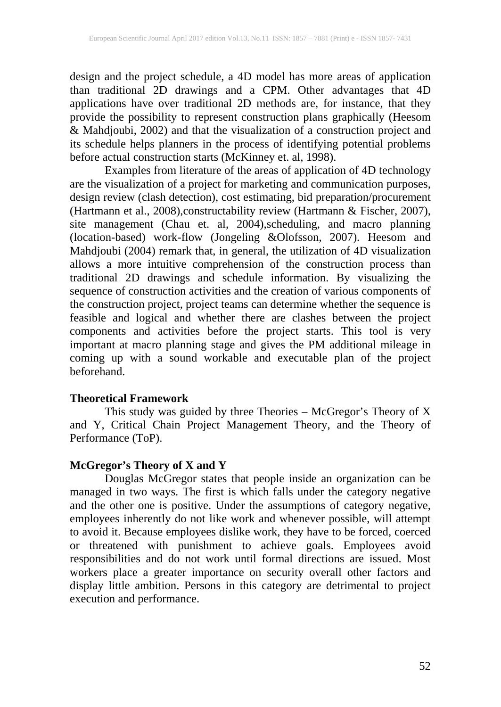design and the project schedule, a 4D model has more areas of application than traditional 2D drawings and a CPM. Other advantages that 4D applications have over traditional 2D methods are, for instance, that they provide the possibility to represent construction plans graphically (Heesom & Mahdjoubi, 2002) and that the visualization of a construction project and its schedule helps planners in the process of identifying potential problems before actual construction starts (McKinney et. al, 1998).

Examples from literature of the areas of application of 4D technology are the visualization of a project for marketing and communication purposes, design review (clash detection), cost estimating, bid preparation/procurement (Hartmann et al., 2008),constructability review (Hartmann & Fischer, 2007), site management (Chau et. al, 2004),scheduling, and macro planning (location-based) work-flow (Jongeling &Olofsson, 2007). Heesom and Mahdjoubi (2004) remark that, in general, the utilization of 4D visualization allows a more intuitive comprehension of the construction process than traditional 2D drawings and schedule information. By visualizing the sequence of construction activities and the creation of various components of the construction project, project teams can determine whether the sequence is feasible and logical and whether there are clashes between the project components and activities before the project starts. This tool is very important at macro planning stage and gives the PM additional mileage in coming up with a sound workable and executable plan of the project beforehand.

#### **Theoretical Framework**

This study was guided by three Theories – McGregor's Theory of X and Y, Critical Chain Project Management Theory, and the Theory of Performance (ToP).

## **McGregor's Theory of X and Y**

Douglas McGregor states that people inside an organization can be managed in two ways. The first is which falls under the category negative and the other one is positive. Under the assumptions of category negative, employees inherently do not like work and whenever possible, will attempt to avoid it. Because employees dislike work, they have to be forced, coerced or threatened with punishment to achieve goals. Employees avoid responsibilities and do not work until formal directions are issued. Most workers place a greater importance on security overall other factors and display little ambition. Persons in this category are detrimental to project execution and performance.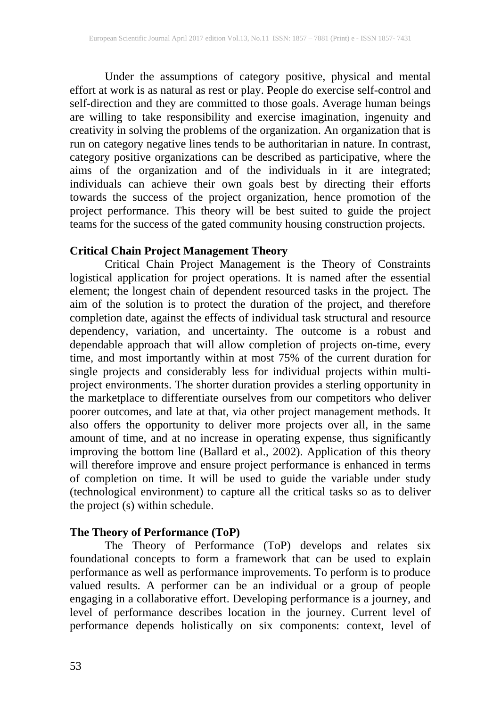Under the assumptions of category positive, physical and mental effort at work is as natural as rest or play. People do exercise self-control and self-direction and they are committed to those goals. Average human beings are willing to take responsibility and exercise imagination, ingenuity and creativity in solving the problems of the organization. An organization that is run on category negative lines tends to be authoritarian in nature. In contrast, category positive organizations can be described as participative, where the aims of the organization and of the individuals in it are integrated; individuals can achieve their own goals best by directing their efforts towards the success of the project organization, hence promotion of the project performance. This theory will be best suited to guide the project teams for the success of the gated community housing construction projects.

## **Critical Chain Project Management Theory**

Critical Chain Project Management is the Theory of Constraints logistical application for project operations. It is named after the essential element; the longest chain of dependent resourced tasks in the project. The aim of the solution is to protect the duration of the project, and therefore completion date, against the effects of individual task structural and resource dependency, variation, and uncertainty. The outcome is a robust and dependable approach that will allow completion of projects on-time, every time, and most importantly within at most 75% of the current duration for single projects and considerably less for individual projects within multiproject environments. The shorter duration provides a sterling opportunity in the marketplace to differentiate ourselves from our competitors who deliver poorer outcomes, and late at that, via other project management methods. It also offers the opportunity to deliver more projects over all, in the same amount of time, and at no increase in operating expense, thus significantly improving the bottom line (Ballard et al., 2002). Application of this theory will therefore improve and ensure project performance is enhanced in terms of completion on time. It will be used to guide the variable under study (technological environment) to capture all the critical tasks so as to deliver the project (s) within schedule.

## **The Theory of Performance (ToP)**

The Theory of Performance (ToP) develops and relates six foundational concepts to form a framework that can be used to explain performance as well as performance improvements. To perform is to produce valued results. A performer can be an individual or a group of people engaging in a collaborative effort. Developing performance is a journey, and level of performance describes location in the journey. Current level of performance depends holistically on six components: context, level of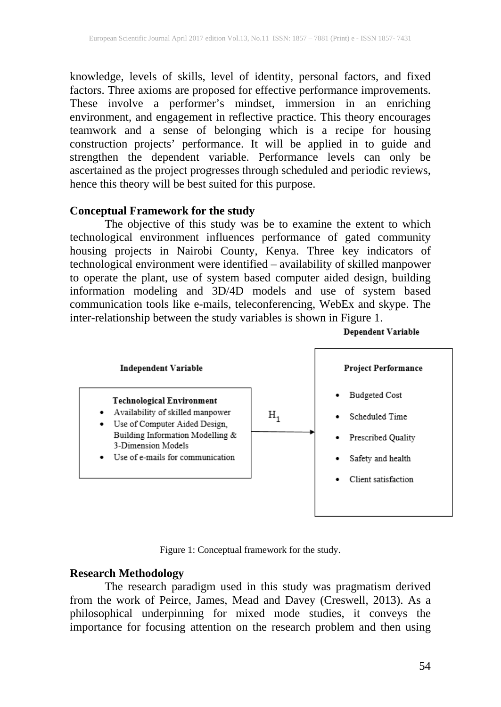knowledge, levels of skills, level of identity, personal factors, and fixed factors. Three axioms are proposed for effective performance improvements. These involve a performer's mindset, immersion in an enriching environment, and engagement in reflective practice. This theory encourages teamwork and a sense of belonging which is a recipe for housing construction projects' performance. It will be applied in to guide and strengthen the dependent variable. Performance levels can only be ascertained as the project progresses through scheduled and periodic reviews, hence this theory will be best suited for this purpose.

#### **Conceptual Framework for the study**

The objective of this study was be to examine the extent to which technological environment influences performance of gated community housing projects in Nairobi County, Kenya. Three key indicators of technological environment were identified – availability of skilled manpower to operate the plant, use of system based computer aided design, building information modeling and 3D/4D models and use of system based communication tools like e-mails, teleconferencing, WebEx and skype. The inter-relationship between the study variables is shown in Figure 1.



Figure 1: Conceptual framework for the study.

#### **Research Methodology**

The research paradigm used in this study was pragmatism derived from the work of Peirce, James, Mead and Davey (Creswell, 2013). As a philosophical underpinning for mixed mode studies, it conveys the importance for focusing attention on the research problem and then using

**Dependent Variable**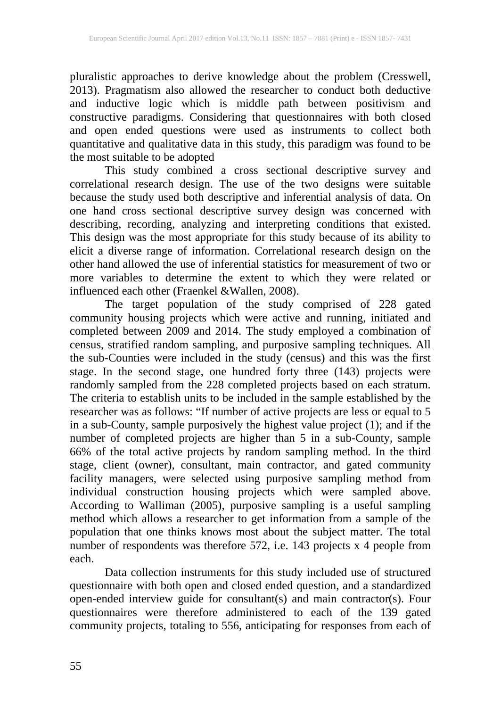pluralistic approaches to derive knowledge about the problem (Cresswell, 2013). Pragmatism also allowed the researcher to conduct both deductive and inductive logic which is middle path between positivism and constructive paradigms. Considering that questionnaires with both closed and open ended questions were used as instruments to collect both quantitative and qualitative data in this study, this paradigm was found to be the most suitable to be adopted

This study combined a cross sectional descriptive survey and correlational research design. The use of the two designs were suitable because the study used both descriptive and inferential analysis of data. On one hand cross sectional descriptive survey design was concerned with describing, recording, analyzing and interpreting conditions that existed. This design was the most appropriate for this study because of its ability to elicit a diverse range of information. Correlational research design on the other hand allowed the use of inferential statistics for measurement of two or more variables to determine the extent to which they were related or influenced each other (Fraenkel &Wallen, 2008).

The target population of the study comprised of 228 gated community housing projects which were active and running, initiated and completed between 2009 and 2014. The study employed a combination of census, stratified random sampling, and purposive sampling techniques. All the sub-Counties were included in the study (census) and this was the first stage. In the second stage, one hundred forty three (143) projects were randomly sampled from the 228 completed projects based on each stratum. The criteria to establish units to be included in the sample established by the researcher was as follows: "If number of active projects are less or equal to 5 in a sub-County, sample purposively the highest value project (1); and if the number of completed projects are higher than 5 in a sub-County, sample 66% of the total active projects by random sampling method. In the third stage, client (owner), consultant, main contractor, and gated community facility managers, were selected using purposive sampling method from individual construction housing projects which were sampled above. According to Walliman (2005), purposive sampling is a useful sampling method which allows a researcher to get information from a sample of the population that one thinks knows most about the subject matter. The total number of respondents was therefore 572, i.e. 143 projects x 4 people from each.

Data collection instruments for this study included use of structured questionnaire with both open and closed ended question, and a standardized open-ended interview guide for consultant(s) and main contractor(s). Four questionnaires were therefore administered to each of the 139 gated community projects, totaling to 556, anticipating for responses from each of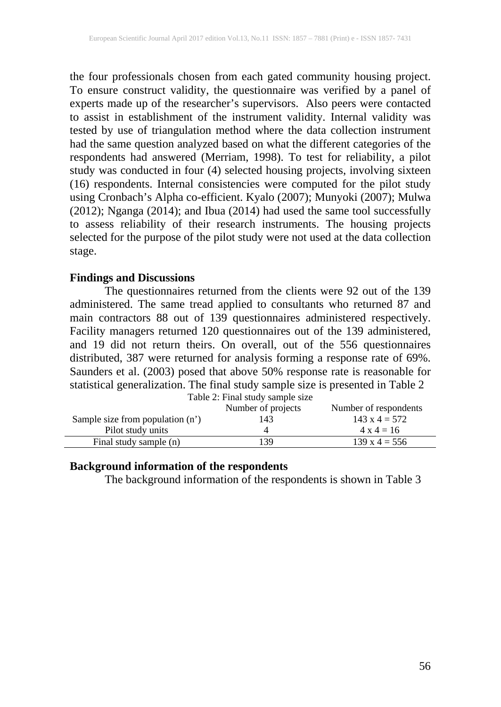the four professionals chosen from each gated community housing project. To ensure construct validity, the questionnaire was verified by a panel of experts made up of the researcher's supervisors. Also peers were contacted to assist in establishment of the instrument validity. Internal validity was tested by use of triangulation method where the data collection instrument had the same question analyzed based on what the different categories of the respondents had answered (Merriam, 1998). To test for reliability, a pilot study was conducted in four (4) selected housing projects, involving sixteen (16) respondents. Internal consistencies were computed for the pilot study using Cronbach's Alpha co-efficient. Kyalo (2007); Munyoki (2007); Mulwa (2012); Nganga (2014); and Ibua (2014) had used the same tool successfully to assess reliability of their research instruments. The housing projects selected for the purpose of the pilot study were not used at the data collection stage.

### **Findings and Discussions**

The questionnaires returned from the clients were 92 out of the 139 administered. The same tread applied to consultants who returned 87 and main contractors 88 out of 139 questionnaires administered respectively. Facility managers returned 120 questionnaires out of the 139 administered, and 19 did not return theirs. On overall, out of the 556 questionnaires distributed, 387 were returned for analysis forming a response rate of 69%. Saunders et al. (2003) posed that above 50% response rate is reasonable for statistical generalization. The final study sample size is presented in Table 2

|                                    | Table 2: Final study sample size |                       |
|------------------------------------|----------------------------------|-----------------------|
|                                    | Number of projects               | Number of respondents |
| Sample size from population $(n')$ | 143                              | $143 \times 4 = 572$  |
| Pilot study units                  |                                  | $4 \times 4 = 16$     |
| Final study sample (n)             | 139                              | $139 \times 4 = 556$  |

#### **Background information of the respondents**

The background information of the respondents is shown in Table 3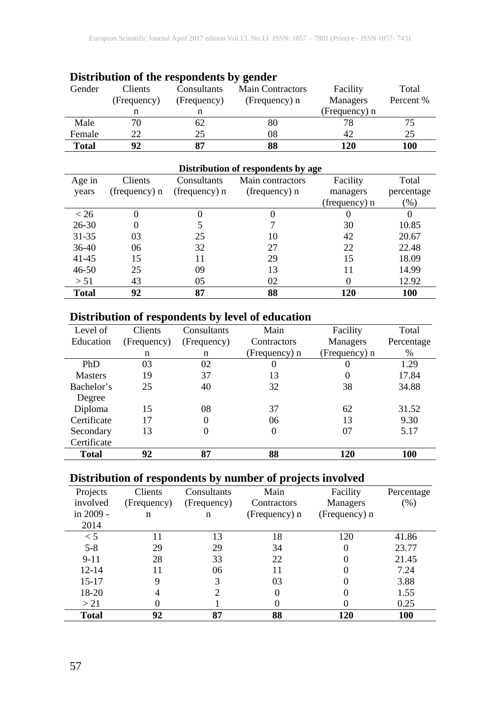| Distribution of the responsements of genuer |                |             |                           |               |           |  |  |  |
|---------------------------------------------|----------------|-------------|---------------------------|---------------|-----------|--|--|--|
| Gender                                      | <b>Clients</b> | Consultants | <b>Main Contractors</b>   | Facility      | Total     |  |  |  |
|                                             | (Frequency)    | (Frequency) | Managers<br>(Frequency) n |               | Percent % |  |  |  |
|                                             |                |             |                           | (Frequency) n |           |  |  |  |
| Male                                        | 70             | 62          | 80                        |               |           |  |  |  |
| Female                                      | 22             | 25          | 08                        | 42            | 25        |  |  |  |
| <b>Total</b>                                | 92             |             | 88                        | 120           | 100       |  |  |  |

#### **Distribution of the respondents by gender**

| Distribution of respondents by age |               |               |                  |               |            |  |  |  |  |  |
|------------------------------------|---------------|---------------|------------------|---------------|------------|--|--|--|--|--|
| Age in                             | Clients       | Consultants   | Main contractors | Facility      | Total      |  |  |  |  |  |
| years                              | (frequency) n | (frequency) n | (frequency) n    | managers      | percentage |  |  |  |  |  |
|                                    |               |               |                  | (frequency) n | $(\%)$     |  |  |  |  |  |
| < 26                               | 0             |               | O                |               | $\theta$   |  |  |  |  |  |
| $26 - 30$                          | 0             |               |                  | 30            | 10.85      |  |  |  |  |  |
| $31 - 35$                          | 03            | 25            | 10               | 42            | 20.67      |  |  |  |  |  |
| $36-40$                            | 06            | 32            | 27               | 22            | 22.48      |  |  |  |  |  |
| $41 - 45$                          | 15            | 11            | 29               | 15            | 18.09      |  |  |  |  |  |
| $46 - 50$                          | 25            | 09            | 13               |               | 14.99      |  |  |  |  |  |
| > 51                               | 43            | 05            | 02               |               | 12.92      |  |  |  |  |  |
| <b>Total</b>                       | 92            | 87            | 88               | 120           | 100        |  |  |  |  |  |

## **Distribution of respondents by level of education**

| Level of       | <b>Clients</b> | Consultants    | Main          | Facility      | Total      |
|----------------|----------------|----------------|---------------|---------------|------------|
| Education      | (Frequency)    | (Frequency)    | Contractors   | Managers      | Percentage |
|                | n              | n              | (Frequency) n | (Frequency) n | %          |
| PhD            | 03             | 02             | $\theta$      |               | 1.29       |
| <b>Masters</b> | 19             | 37             | 13            |               | 17.84      |
| Bachelor's     | 25             | 40             | 32            | 38            | 34.88      |
| Degree         |                |                |               |               |            |
| Diploma        | 15             | 08             | 37            | 62            | 31.52      |
| Certificate    | 17             | $\Omega$       | 06            | 13            | 9.30       |
| Secondary      | 13             | $\overline{0}$ | 0             | 07            | 5.17       |
| Certificate    |                |                |               |               |            |
| <b>Total</b>   | 92             | 87             | 88            | 120           | 100        |

## **Distribution of respondents by number of projects involved**

| Projects     | Clients     | Consultants | Main          | Facility      | Percentage |
|--------------|-------------|-------------|---------------|---------------|------------|
| involved     | (Frequency) | (Frequency) | Contractors   | Managers      | (% )       |
| in 2009 -    | n           | n           | (Frequency) n | (Frequency) n |            |
| 2014         |             |             |               |               |            |
| $\leq 5$     | 11          | 13          | 18            | 120           | 41.86      |
| $5 - 8$      | 29          | 29          | 34            | 0             | 23.77      |
| $9-11$       | 28          | 33          | 22            | 0             | 21.45      |
| $12 - 14$    | 11          | 06          |               |               | 7.24       |
| $15 - 17$    | 9           | 3           | 03            |               | 3.88       |
| 18-20        | 4           |             |               |               | 1.55       |
| >21          |             |             |               |               | 0.25       |
| <b>Total</b> | 92          | 87          | 88            | 120           | <b>100</b> |
|              |             |             |               |               |            |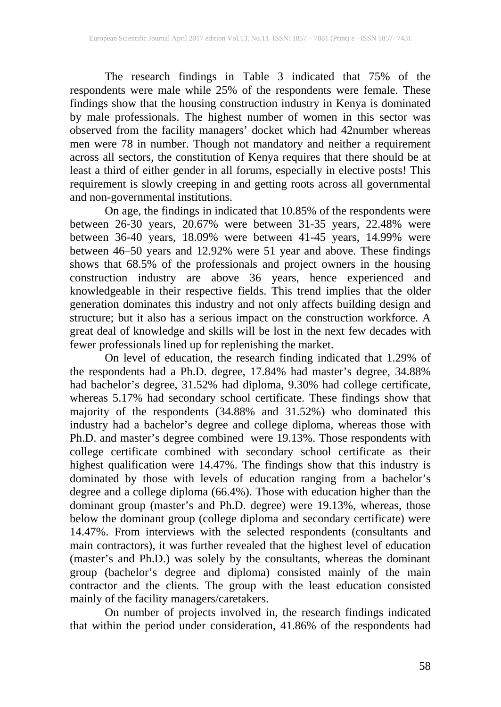The research findings in Table 3 indicated that 75% of the respondents were male while 25% of the respondents were female. These findings show that the housing construction industry in Kenya is dominated by male professionals. The highest number of women in this sector was observed from the facility managers' docket which had 42number whereas men were 78 in number. Though not mandatory and neither a requirement across all sectors, the constitution of Kenya requires that there should be at least a third of either gender in all forums, especially in elective posts! This requirement is slowly creeping in and getting roots across all governmental and non-governmental institutions.

On age, the findings in indicated that 10.85% of the respondents were between 26-30 years, 20.67% were between 31-35 years, 22.48% were between 36-40 years, 18.09% were between 41-45 years, 14.99% were between 46–50 years and 12.92% were 51 year and above. These findings shows that 68.5% of the professionals and project owners in the housing construction industry are above 36 years, hence experienced and knowledgeable in their respective fields. This trend implies that the older generation dominates this industry and not only affects building design and structure; but it also has a serious impact on the construction workforce. A great deal of knowledge and skills will be lost in the next few decades with fewer professionals lined up for replenishing the market.

On level of education, the research finding indicated that 1.29% of the respondents had a Ph.D. degree, 17.84% had master's degree, 34.88% had bachelor's degree, 31.52% had diploma, 9.30% had college certificate, whereas 5.17% had secondary school certificate. These findings show that majority of the respondents (34.88% and 31.52%) who dominated this industry had a bachelor's degree and college diploma, whereas those with Ph.D. and master's degree combined were 19.13%. Those respondents with college certificate combined with secondary school certificate as their highest qualification were 14.47%. The findings show that this industry is dominated by those with levels of education ranging from a bachelor's degree and a college diploma (66.4%). Those with education higher than the dominant group (master's and Ph.D. degree) were 19.13%, whereas, those below the dominant group (college diploma and secondary certificate) were 14.47%. From interviews with the selected respondents (consultants and main contractors), it was further revealed that the highest level of education (master's and Ph.D.) was solely by the consultants, whereas the dominant group (bachelor's degree and diploma) consisted mainly of the main group (bachelor's degree and diploma) consisted mainly of the main contractor and the clients. The group with the least education consisted mainly of the facility managers/caretakers.

On number of projects involved in, the research findings indicated that within the period under consideration, 41.86% of the respondents had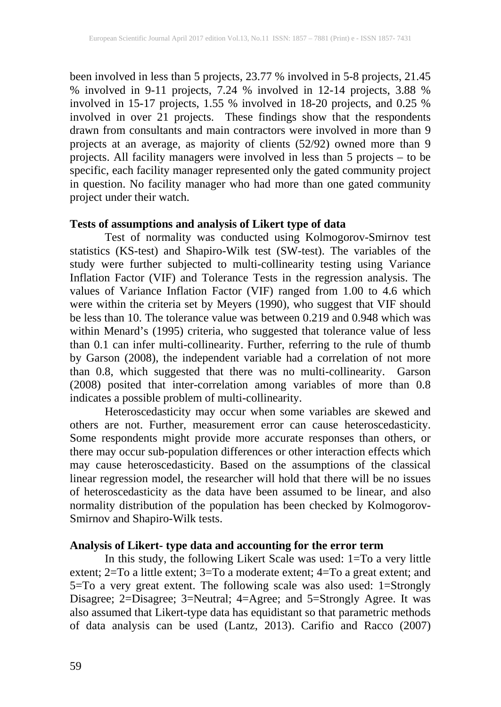been involved in less than 5 projects, 23.77 % involved in 5-8 projects, 21.45 % involved in 9-11 projects, 7.24 % involved in 12-14 projects, 3.88 % involved in 15-17 projects, 1.55 % involved in 18-20 projects, and 0.25 % involved in over 21 projects. These findings show that the respondents drawn from consultants and main contractors were involved in more than 9 projects at an average, as majority of clients (52/92) owned more than 9 projects. All facility managers were involved in less than 5 projects – to be specific, each facility manager represented only the gated community project in question. No facility manager who had more than one gated community project under their watch.

## **Tests of assumptions and analysis of Likert type of data**

Test of normality was conducted using Kolmogorov-Smirnov test statistics (KS-test) and Shapiro-Wilk test (SW-test). The variables of the study were further subjected to multi-collinearity testing using Variance Inflation Factor (VIF) and Tolerance Tests in the regression analysis. The values of Variance Inflation Factor (VIF) ranged from 1.00 to 4.6 which were within the criteria set by Meyers (1990), who suggest that VIF should be less than 10. The tolerance value was between 0.219 and 0.948 which was within Menard's (1995) criteria, who suggested that tolerance value of less than 0.1 can infer multi-collinearity. Further, referring to the rule of thumb by Garson (2008), the independent variable had a correlation of not more than 0.8, which suggested that there was no multi-collinearity. Garson (2008) posited that inter-correlation among variables of more than 0.8 indicates a possible problem of multi-collinearity.

Heteroscedasticity may occur when some variables are skewed and others are not. Further, measurement error can cause heteroscedasticity. Some respondents might provide more accurate responses than others, or there may occur sub-population differences or other interaction effects which may cause heteroscedasticity. Based on the assumptions of the classical linear regression model, the researcher will hold that there will be no issues of heteroscedasticity as the data have been assumed to be linear, and also normality distribution of the population has been checked by Kolmogorov-Smirnov and Shapiro-Wilk tests.

## **Analysis of Likert- type data and accounting for the error term**

In this study, the following Likert Scale was used: 1=To a very little extent; 2=To a little extent; 3=To a moderate extent; 4=To a great extent; and 5=To a very great extent. The following scale was also used: 1=Strongly Disagree; 2=Disagree; 3=Neutral; 4=Agree; and 5=Strongly Agree. It was also assumed that Likert-type data has equidistant so that parametric methods of data analysis can be used (Lantz, 2013). Carifio and Racco (2007)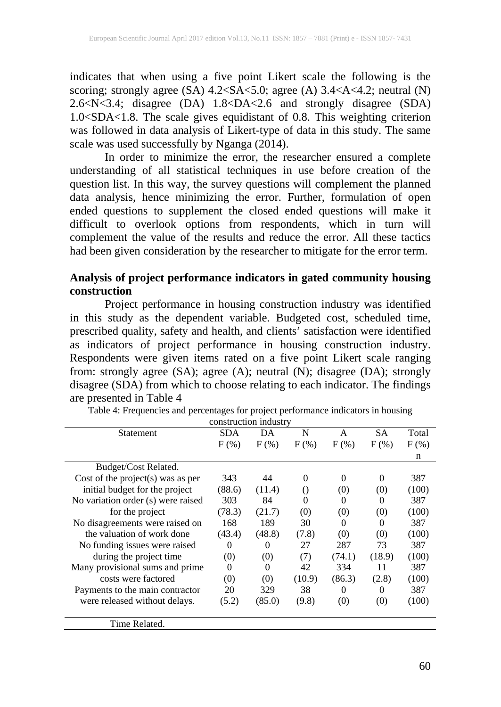indicates that when using a five point Likert scale the following is the scoring; strongly agree (SA) 4.2<SA<5.0; agree (A) 3.4<A<4.2; neutral (N) 2.6<N<3.4; disagree (DA) 1.8<DA<2.6 and strongly disagree (SDA) 1.0<SDA<1.8. The scale gives equidistant of 0.8. This weighting criterion was followed in data analysis of Likert-type of data in this study. The same scale was used successfully by Nganga (2014).

In order to minimize the error, the researcher ensured a complete understanding of all statistical techniques in use before creation of the question list. In this way, the survey questions will complement the planned data analysis, hence minimizing the error. Further, formulation of open ended questions to supplement the closed ended questions will make it difficult to overlook options from respondents, which in turn will complement the value of the results and reduce the error. All these tactics had been given consideration by the researcher to mitigate for the error term.

## **Analysis of project performance indicators in gated community housing construction**

Project performance in housing construction industry was identified in this study as the dependent variable. Budgeted cost, scheduled time, prescribed quality, safety and health, and clients' satisfaction were identified as indicators of project performance in housing construction industry. Respondents were given items rated on a five point Likert scale ranging from: strongly agree (SA); agree (A); neutral (N); disagree (DA); strongly disagree (SDA) from which to choose relating to each indicator. The findings are presented in Table 4

Table 4: Frequencies and percentages for project performance indicators in housing construction industry

| Statement                          | <b>SDA</b> | DA       | N        | A        | <b>SA</b> | Total   |
|------------------------------------|------------|----------|----------|----------|-----------|---------|
|                                    | $F$ $(\%)$ | $F$ (%)  | $F$ (%)  | $F(\%)$  | $F$ (%)   | $F(\%)$ |
|                                    |            |          |          |          |           | n       |
| Budget/Cost Related.               |            |          |          |          |           |         |
| Cost of the project(s) was as per  | 343        | 44       | $\Omega$ | $\Omega$ | 0         | 387     |
| initial budget for the project     | (88.6)     | (11.4)   | $\Omega$ | (0)      | (0)       | (100)   |
| No variation order (s) were raised | 303        | 84       | $\theta$ | $\Omega$ | 0         | 387     |
| for the project                    | (78.3)     | (21.7)   | (0)      | (0)      | (0)       | (100)   |
| No disagreements were raised on    | 168        | 189      | 30       | 0        | 0         | 387     |
| the valuation of work done         | (43.4)     | (48.8)   | (7.8)    | (0)      | (0)       | (100)   |
| No funding issues were raised      | $\theta$   | $\Omega$ | 27       | 287      | 73        | 387     |
| during the project time.           | (0)        | (0)      | (7)      | (74.1)   | (18.9)    | (100)   |
| Many provisional sums and prime    | $\theta$   | 0        | 42       | 334      | 11        | 387     |
| costs were factored                | (0)        | (0)      | (10.9)   | (86.3)   | (2.8)     | (100)   |
| Payments to the main contractor    | 20         | 329      | 38       | 0        | $\Omega$  | 387     |
| were released without delays.      | (5.2)      | (85.0)   | (9.8)    | (0)      | (0)       | (100)   |
|                                    |            |          |          |          |           |         |
| Time Related.                      |            |          |          |          |           |         |
|                                    |            |          |          |          |           |         |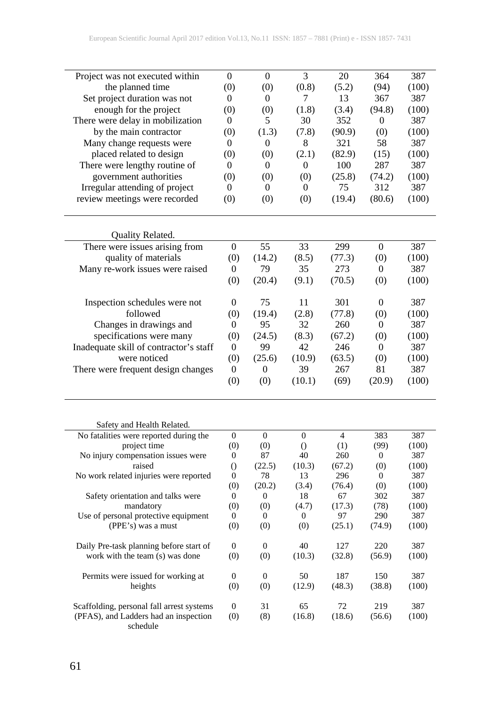| Project was not executed within                   | 0                       | $\boldsymbol{0}$ | 3                | 20             | 364              | 387          |
|---------------------------------------------------|-------------------------|------------------|------------------|----------------|------------------|--------------|
| the planned time                                  | (0)                     | (0)              | (0.8)            | (5.2)          | (94)             | (100)        |
| Set project duration was not                      | $\boldsymbol{0}$        | $\boldsymbol{0}$ | 7                | 13             | 367              | 387          |
| enough for the project                            | (0)                     | (0)              | (1.8)            | (3.4)          | (94.8)           | (100)        |
| There were delay in mobilization                  | $\overline{0}$          | 5                | 30               | 352            | $\theta$         | 387          |
| by the main contractor                            | (0)                     | (1.3)            | (7.8)            | (90.9)         | (0)              | (100)        |
| Many change requests were                         | 0                       | $\boldsymbol{0}$ | 8                | 321            | 58               | 387          |
| placed related to design                          | (0)                     | (0)              | (2.1)            | (82.9)         | (15)             | (100)        |
| There were lengthy routine of                     | $\mathbf{0}$            | $\mathbf{0}$     | $\mathbf{0}$     | 100            | 287              | 387          |
| government authorities                            | (0)                     | (0)              | (0)              | (25.8)         | (74.2)           | (100)        |
| Irregular attending of project                    | $\overline{0}$          | $\mathbf{0}$     | 0                | 75             | 312              | 387          |
| review meetings were recorded                     | (0)                     | (0)              | (0)              | (19.4)         | (80.6)           | (100)        |
|                                                   |                         |                  |                  |                |                  |              |
| Quality Related.                                  |                         |                  |                  |                |                  |              |
| There were issues arising from                    | $\boldsymbol{0}$        | 55               | 33               | 299            | $\boldsymbol{0}$ | 387          |
| quality of materials                              | (0)                     | (14.2)           | (8.5)            | (77.3)         | (0)              | (100)        |
| Many re-work issues were raised                   | $\mathbf{0}$            | 79               | 35               | 273            | $\boldsymbol{0}$ | 387          |
|                                                   | (0)                     | (20.4)           | (9.1)            | (70.5)         | (0)              | (100)        |
| Inspection schedules were not                     | $\boldsymbol{0}$        | 75               | 11               | 301            | $\boldsymbol{0}$ | 387          |
| followed                                          | (0)                     | (19.4)           | (2.8)            | (77.8)         | (0)              | (100)        |
| Changes in drawings and                           | 0                       | 95               | 32               | 260            | $\mathbf{0}$     | 387          |
| specifications were many                          | (0)                     | (24.5)           | (8.3)            | (67.2)         | (0)              | (100)        |
| Inadequate skill of contractor's staff            | $\mathbf{0}$            | 99               | 42               | 246            | $\boldsymbol{0}$ | 387          |
| were noticed                                      | (0)                     | (25.6)           | (10.9)           | (63.5)         | (0)              | (100)        |
| There were frequent design changes                | $\boldsymbol{0}$        | $\overline{0}$   | 39               | 267            | 81               | 387          |
|                                                   | (0)                     | (0)              | (10.1)           | (69)           | (20.9)           | (100)        |
|                                                   |                         |                  |                  |                |                  |              |
| Safety and Health Related.                        |                         |                  |                  |                |                  |              |
| No fatalities were reported during the            | $\overline{0}$          | $\overline{0}$   | $\boldsymbol{0}$ | $\overline{4}$ | 383              | 387          |
| project time                                      | (0)                     | (0)              | $\bigcirc$       | (1)            | (99)             | (100)        |
| No injury compensation issues were                | 0                       | 87               | 40               | 260            | 0                | 387          |
| raised                                            | $\left( \right)$        | (22.5)           | (10.3)           | (67.2)         | (0)              | (100)        |
| No work related injuries were reported            | 0                       | 78               | 13               | 296            | $\mathbf{0}$     | 387          |
| Safety orientation and talks were                 | (0)<br>$\boldsymbol{0}$ | (20.2)<br>0      | (3.4)<br>18      | (76.4)<br>67   | (0)<br>302       | (100)<br>387 |
| mandatory                                         | (0)                     | (0)              | (4.7)            | (17.3)         | (78)             | (100)        |
| Use of personal protective equipment              | $\overline{0}$          | $\overline{0}$   | $\overline{0}$   | 97             | 290              | 387          |
| (PPE's) was a must                                | (0)                     | (0)              | (0)              | (25.1)         | (74.9)           | (100)        |
| Daily Pre-task planning before start of           | $\boldsymbol{0}$        | $\boldsymbol{0}$ | 40               | 127            | 220              | 387          |
| work with the team (s) was done                   | (0)                     | (0)              | (10.3)           | (32.8)         | (56.9)           | (100)        |
| Permits were issued for working at                | $\boldsymbol{0}$        | $\boldsymbol{0}$ | 50               | 187            | 150              | 387          |
| heights                                           | (0)                     | (0)              | (12.9)           | (48.3)         | (38.8)           | (100)        |
| Scaffolding, personal fall arrest systems         | $\boldsymbol{0}$        | 31               | 65               | 72             | 219              | 387          |
| (PFAS), and Ladders had an inspection<br>schedule | (0)                     | (8)              | (16.8)           | (18.6)         | (56.6)           | (100)        |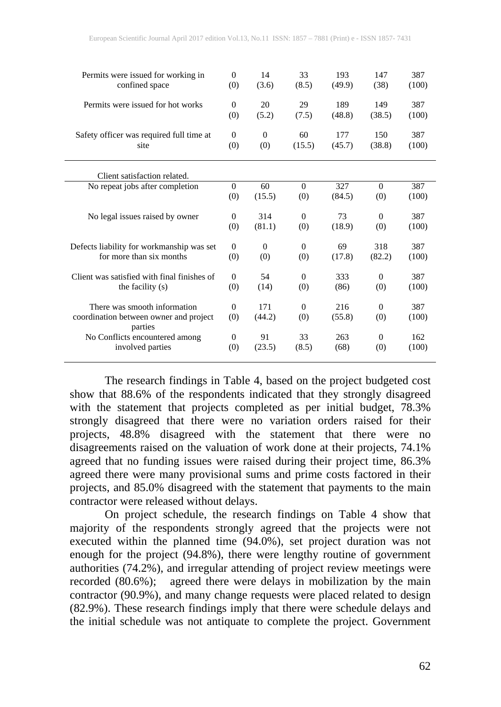| Permits were issued for working in<br>confined space | $\Omega$<br>(0)     | 14<br>(3.6)         | 33<br>(8.5)    | 193<br>(49.9) | 147<br>(38)   | 387<br>(100) |
|------------------------------------------------------|---------------------|---------------------|----------------|---------------|---------------|--------------|
| Permits were issued for hot works                    | $\mathbf{0}$<br>(0) | 20<br>(5.2)         | 29<br>(7.5)    | 189<br>(48.8) | 149<br>(38.5) | 387<br>(100) |
| Safety officer was required full time at<br>site     | $\Omega$<br>(0)     | $\mathbf{0}$<br>(0) | 60<br>(15.5)   | 177<br>(45.7) | 150<br>(38.8) | 387<br>(100) |
| Client satisfaction related.                         |                     |                     |                |               |               |              |
| No repeat jobs after completion                      | $\mathbf{0}$        | 60                  | $\overline{0}$ | 327           | $\Omega$      | 387          |
|                                                      | (0)                 | (15.5)              | (0)            | (84.5)        | (0)           | (100)        |
|                                                      |                     |                     |                |               |               |              |
| No legal issues raised by owner                      | $\mathbf{0}$        | 314                 | $\mathbf{0}$   | 73            | $\Omega$      | 387          |
|                                                      | (0)                 | (81.1)              | (0)            | (18.9)        | (0)           | (100)        |
| Defects liability for workmanship was set            | $\Omega$            | $\mathbf{0}$        | $\overline{0}$ | 69            | 318           | 387          |
| for more than six months                             | (0)                 | (0)                 | (0)            | (17.8)        | (82.2)        | (100)        |
|                                                      |                     |                     |                |               |               |              |
| Client was satisfied with final finishes of          | $\Omega$            | 54                  | $\overline{0}$ | 333           | $\Omega$      | 387          |
| the facility (s)                                     | (0)                 | (14)                | (0)            | (86)          | (0)           | (100)        |
|                                                      |                     |                     |                |               |               |              |
| There was smooth information                         | $\Omega$            | 171                 | $\overline{0}$ | 216           | $\Omega$      | 387          |
| coordination between owner and project<br>parties    | (0)                 | (44.2)              | (0)            | (55.8)        | (0)           | (100)        |
| No Conflicts encountered among                       | $\mathbf{0}$        | 91                  | 33             | 263           | $\Omega$      | 162          |
| involved parties                                     | (0)                 | (23.5)              | (8.5)          | (68)          | (0)           | (100)        |
|                                                      |                     |                     |                |               |               |              |

The research findings in Table 4, based on the project budgeted cost show that 88.6% of the respondents indicated that they strongly disagreed with the statement that projects completed as per initial budget, 78.3% strongly disagreed that there were no variation orders raised for their projects, 48.8% disagreed with the statement that there were no disagreements raised on the valuation of work done at their projects, 74.1% agreed that no funding issues were raised during their project time, 86.3% agreed there were many provisional sums and prime costs factored in their projects, and 85.0% disagreed with the statement that payments to the main contractor were released without delays.

On project schedule, the research findings on Table 4 show that majority of the respondents strongly agreed that the projects were not executed within the planned time (94.0%), set project duration was not enough for the project (94.8%), there were lengthy routine of government authorities (74.2%), and irregular attending of project review meetings were recorded (80.6%); agreed there were delays in mobilization by the main contractor (90.9%), and many change requests were placed related to design (82.9%). These research findings imply that there were schedule delays and the initial schedule was not antiquate to complete the project. Government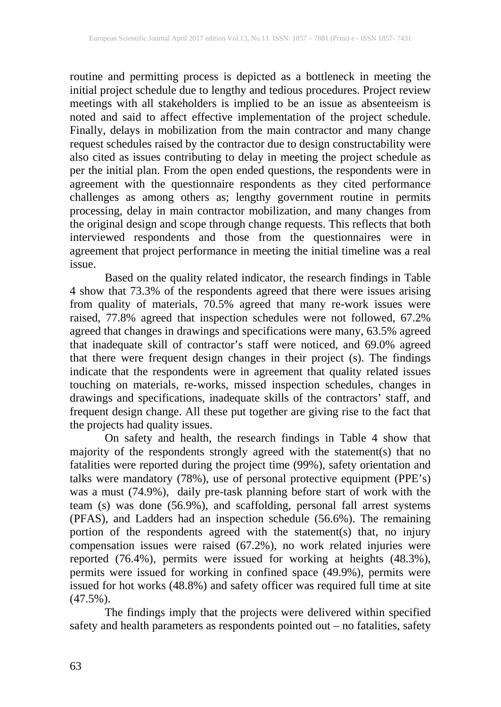routine and permitting process is depicted as a bottleneck in meeting the initial project schedule due to lengthy and tedious procedures. Project review meetings with all stakeholders is implied to be an issue as absenteeism is noted and said to affect effective implementation of the project schedule. Finally, delays in mobilization from the main contractor and many change request schedules raised by the contractor due to design constructability were also cited as issues contributing to delay in meeting the project schedule as per the initial plan. From the open ended questions, the respondents were in agreement with the questionnaire respondents as they cited performance challenges as among others as; lengthy government routine in permits processing, delay in main contractor mobilization, and many changes from the original design and scope through change requests. This reflects that both interviewed respondents and those from the questionnaires were in agreement that project performance in meeting the initial timeline was a real issue.

Based on the quality related indicator, the research findings in Table 4 show that 73.3% of the respondents agreed that there were issues arising from quality of materials, 70.5% agreed that many re-work issues were raised, 77.8% agreed that inspection schedules were not followed, 67.2% agreed that changes in drawings and specifications were many, 63.5% agreed that inadequate skill of contractor's staff were noticed, and 69.0% agreed that there were frequent design changes in their project (s). The findings indicate that the respondents were in agreement that quality related issues touching on materials, re-works, missed inspection schedules, changes in drawings and specifications, inadequate skills of the contractors' staff, and frequent design change. All these put together are giving rise to the fact that the projects had quality issues.

On safety and health, the research findings in Table 4 show that majority of the respondents strongly agreed with the statement(s) that no fatalities were reported during the project time (99%), safety orientation and talks were mandatory (78%), use of personal protective equipment (PPE's) was a must (74.9%), daily pre-task planning before start of work with the team (s) was done (56.9%), and scaffolding, personal fall arrest systems (PFAS), and Ladders had an inspection schedule (56.6%). The remaining portion of the respondents agreed with the statement(s) that, no injury compensation issues were raised (67.2%), no work related injuries were reported (76.4%), permits were issued for working at heights (48.3%), permits were issued for working in confined space (49.9%), permits were issued for hot works (48.8%) and safety officer was required full time at site  $(47.5\%)$ .

The findings imply that the projects were delivered within specified safety and health parameters as respondents pointed out – no fatalities, safety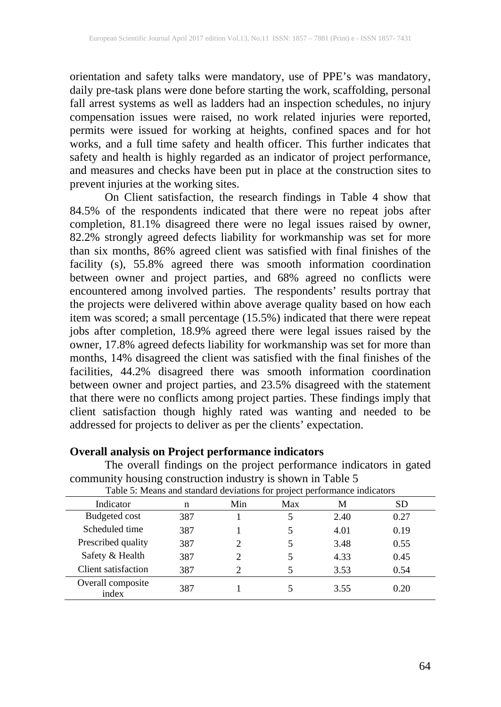orientation and safety talks were mandatory, use of PPE's was mandatory, daily pre-task plans were done before starting the work, scaffolding, personal fall arrest systems as well as ladders had an inspection schedules, no injury compensation issues were raised, no work related injuries were reported, permits were issued for working at heights, confined spaces and for hot works, and a full time safety and health officer. This further indicates that safety and health is highly regarded as an indicator of project performance, and measures and checks have been put in place at the construction sites to prevent injuries at the working sites.

On Client satisfaction, the research findings in Table 4 show that 84.5% of the respondents indicated that there were no repeat jobs after completion, 81.1% disagreed there were no legal issues raised by owner, 82.2% strongly agreed defects liability for workmanship was set for more than six months, 86% agreed client was satisfied with final finishes of the facility (s), 55.8% agreed there was smooth information coordination between owner and project parties, and 68% agreed no conflicts were encountered among involved parties. The respondents' results portray that the projects were delivered within above average quality based on how each item was scored; a small percentage (15.5%) indicated that there were repeat jobs after completion, 18.9% agreed there were legal issues raised by the owner, 17.8% agreed defects liability for workmanship was set for more than months, 14% disagreed the client was satisfied with the final finishes of the facilities, 44.2% disagreed there was smooth information coordination between owner and project parties, and 23.5% disagreed with the statement that there were no conflicts among project parties. These findings imply that client satisfaction though highly rated was wanting and needed to be addressed for projects to deliver as per the clients' expectation.

# **Overall analysis on Project performance indicators**

The overall findings on the project performance indicators in gated community housing construction industry is shown in Table 5 Table 5: Means and standard deviations for project performance indicators

| I able 5. Means and standard deviations for project performance indicators |     |     |     |      |      |  |  |  |
|----------------------------------------------------------------------------|-----|-----|-----|------|------|--|--|--|
| Indicator                                                                  | n   | Min | Max | М    | SD   |  |  |  |
| Budgeted cost                                                              | 387 |     |     | 2.40 | 0.27 |  |  |  |
| Scheduled time                                                             | 387 |     |     | 4.01 | 0.19 |  |  |  |
| Prescribed quality                                                         | 387 |     |     | 3.48 | 0.55 |  |  |  |
| Safety & Health                                                            | 387 |     |     | 4.33 | 0.45 |  |  |  |
| Client satisfaction                                                        | 387 |     |     | 3.53 | 0.54 |  |  |  |
| Overall composite<br>index                                                 | 387 |     |     | 3.55 | 0.20 |  |  |  |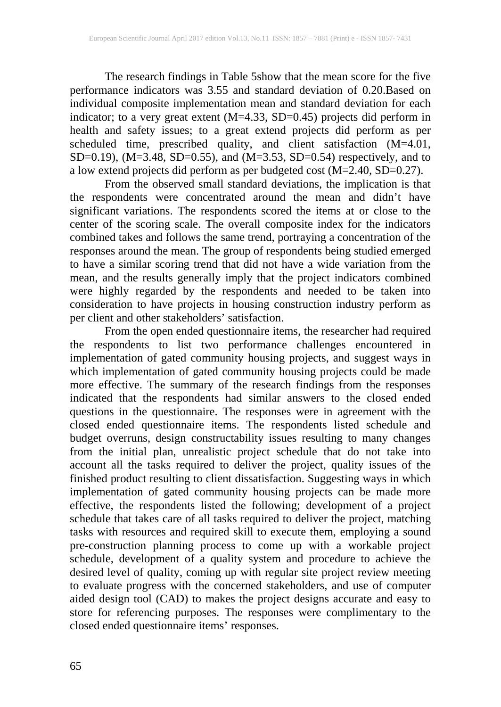The research findings in Table 5show that the mean score for the five performance indicators was 3.55 and standard deviation of 0.20.Based on individual composite implementation mean and standard deviation for each indicator; to a very great extent (M=4.33, SD=0.45) projects did perform in health and safety issues; to a great extend projects did perform as per scheduled time, prescribed quality, and client satisfaction (M=4.01, SD=0.19), (M=3.48, SD=0.55), and (M=3.53, SD=0.54) respectively, and to a low extend projects did perform as per budgeted cost (M=2.40, SD=0.27).

From the observed small standard deviations, the implication is that the respondents were concentrated around the mean and didn't have significant variations. The respondents scored the items at or close to the center of the scoring scale. The overall composite index for the indicators combined takes and follows the same trend, portraying a concentration of the responses around the mean. The group of respondents being studied emerged to have a similar scoring trend that did not have a wide variation from the mean, and the results generally imply that the project indicators combined were highly regarded by the respondents and needed to be taken into consideration to have projects in housing construction industry perform as per client and other stakeholders' satisfaction.

From the open ended questionnaire items, the researcher had required the respondents to list two performance challenges encountered in implementation of gated community housing projects, and suggest ways in which implementation of gated community housing projects could be made more effective. The summary of the research findings from the responses indicated that the respondents had similar answers to the closed ended questions in the questionnaire. The responses were in agreement with the closed ended questionnaire items. The respondents listed schedule and budget overruns, design constructability issues resulting to many changes from the initial plan, unrealistic project schedule that do not take into account all the tasks required to deliver the project, quality issues of the finished product resulting to client dissatisfaction. Suggesting ways in which implementation of gated community housing projects can be made more effective, the respondents listed the following; development of a project schedule that takes care of all tasks required to deliver the project, matching tasks with resources and required skill to execute them, employing a sound pre-construction planning process to come up with a workable project schedule, development of a quality system and procedure to achieve the desired level of quality, coming up with regular site project review meeting to evaluate progress with the concerned stakeholders, and use of computer aided design tool (CAD) to makes the project designs accurate and easy to store for referencing purposes. The responses were complimentary to the closed ended questionnaire items' responses.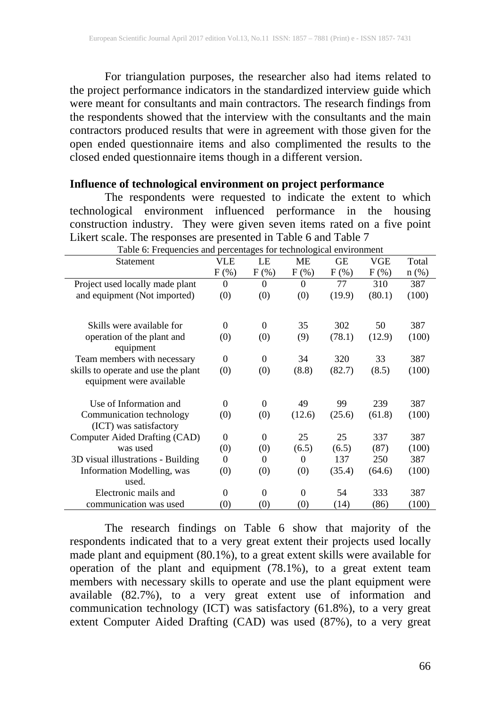For triangulation purposes, the researcher also had items related to the project performance indicators in the standardized interview guide which were meant for consultants and main contractors. The research findings from the respondents showed that the interview with the consultants and the main contractors produced results that were in agreement with those given for the open ended questionnaire items and also complimented the results to the closed ended questionnaire items though in a different version.

#### **Influence of technological environment on project performance**

The respondents were requested to indicate the extent to which technological environment influenced performance in the housing construction industry. They were given seven items rated on a five point Likert scale. The responses are presented in Table 6 and Table 7

| Table 6: Frequencies and percentages for technological environment |                   |                |          |         |         |         |
|--------------------------------------------------------------------|-------------------|----------------|----------|---------|---------|---------|
| Statement                                                          | <b>VLE</b>        | LE             | ME       | GЕ      | VGE     | Total   |
|                                                                    | $F$ (%)           | $F$ (%)        | $F(\%)$  | $F(\%)$ | $F(\%)$ | $n$ (%) |
| Project used locally made plant                                    | $\Omega$          | $\Omega$       | $\Omega$ | 77      | 310     | 387     |
| and equipment (Not imported)                                       | (0)               | (0)            | (0)      | (19.9)  | (80.1)  | (100)   |
|                                                                    |                   |                |          |         |         |         |
| Skills were available for                                          | $\Omega$          | $\theta$       | 35       | 302     | 50      | 387     |
| operation of the plant and                                         | (0)               | (0)            | (9)      | (78.1)  | (12.9)  | (100)   |
| equipment                                                          |                   |                |          |         |         |         |
| Team members with necessary                                        | $\Omega$          | $\theta$       | 34       | 320     | 33      | 387     |
| skills to operate and use the plant                                | (0)               | (0)            | (8.8)    | (82.7)  | (8.5)   | (100)   |
| equipment were available                                           |                   |                |          |         |         |         |
| Use of Information and                                             | $\Omega$          | $\theta$       | 49       | 99      | 239     | 387     |
| Communication technology                                           | (0)               | (0)            | (12.6)   | (25.6)  | (61.8)  | (100)   |
| (ICT) was satisfactory                                             |                   |                |          |         |         |         |
| Computer Aided Drafting (CAD)                                      | $\Omega$          | $\theta$       | 25       | 25      | 337     | 387     |
| was used                                                           | (0)               | (0)            | (6.5)    | (6.5)   | (87)    | (100)   |
| 3D visual illustrations - Building                                 | $\Omega$          | $\Omega$       | 0        | 137     | 250     | 387     |
| Information Modelling, was                                         | (0)               | (0)            | (0)      | (35.4)  | (64.6)  | (100)   |
| used.                                                              |                   |                |          |         |         |         |
| Electronic mails and                                               | $\theta$          | $\overline{0}$ | $\theta$ | 54      | 333     | 387     |
| communication was used                                             | $\left( 0\right)$ | (0)            | (0)      | (14)    | (86)    | (100)   |

The research findings on Table 6 show that majority of the respondents indicated that to a very great extent their projects used locally made plant and equipment (80.1%), to a great extent skills were available for operation of the plant and equipment (78.1%), to a great extent team members with necessary skills to operate and use the plant equipment were available (82.7%), to a very great extent use of information and communication technology (ICT) was satisfactory (61.8%), to a very great extent Computer Aided Drafting (CAD) was used (87%), to a very great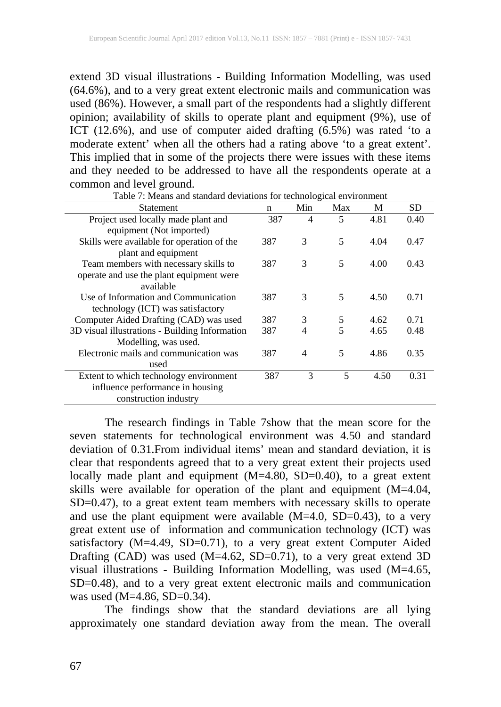extend 3D visual illustrations - Building Information Modelling, was used (64.6%), and to a very great extent electronic mails and communication was used (86%). However, a small part of the respondents had a slightly different opinion; availability of skills to operate plant and equipment (9%), use of ICT (12.6%), and use of computer aided drafting (6.5%) was rated 'to a moderate extent' when all the others had a rating above 'to a great extent'. This implied that in some of the projects there were issues with these items and they needed to be addressed to have all the respondents operate at a common and level ground.

| <b>Statement</b>                               | n   | Min | Max | M    | SD.  |
|------------------------------------------------|-----|-----|-----|------|------|
| Project used locally made plant and            | 387 | 4   | 5   | 4.81 | 0.40 |
| equipment (Not imported)                       |     |     |     |      |      |
| Skills were available for operation of the     | 387 | 3   | 5   | 4.04 | 0.47 |
| plant and equipment                            |     |     |     |      |      |
| Team members with necessary skills to          | 387 | 3   | 5   | 4.00 | 0.43 |
| operate and use the plant equipment were       |     |     |     |      |      |
| available                                      |     |     |     |      |      |
| Use of Information and Communication           | 387 | 3   | 5   | 4.50 | 0.71 |
| technology (ICT) was satisfactory              |     |     |     |      |      |
| Computer Aided Drafting (CAD) was used         | 387 | 3   | 5   | 4.62 | 0.71 |
| 3D visual illustrations - Building Information | 387 | 4   | 5   | 4.65 | 0.48 |
| Modelling, was used.                           |     |     |     |      |      |
| Electronic mails and communication was         | 387 | 4   | 5   | 4.86 | 0.35 |
| used                                           |     |     |     |      |      |
| Extent to which technology environment         | 387 | 3   | 5   | 4.50 | 0.31 |
| influence performance in housing               |     |     |     |      |      |
| construction industry                          |     |     |     |      |      |

Table 7: Means and standard deviations for technological environment

The research findings in Table 7show that the mean score for the seven statements for technological environment was 4.50 and standard deviation of 0.31.From individual items' mean and standard deviation, it is clear that respondents agreed that to a very great extent their projects used locally made plant and equipment (M=4.80, SD=0.40), to a great extent skills were available for operation of the plant and equipment (M=4.04, SD=0.47), to a great extent team members with necessary skills to operate and use the plant equipment were available (M=4.0, SD=0.43), to a very great extent use of information and communication technology (ICT) was satisfactory (M=4.49, SD=0.71), to a very great extent Computer Aided Drafting (CAD) was used (M=4.62, SD=0.71), to a very great extend 3D visual illustrations - Building Information Modelling, was used (M=4.65, SD=0.48), and to a very great extent electronic mails and communication was used  $(M=4.86, SD=0.34)$ .

The findings show that the standard deviations are all lying approximately one standard deviation away from the mean. The overall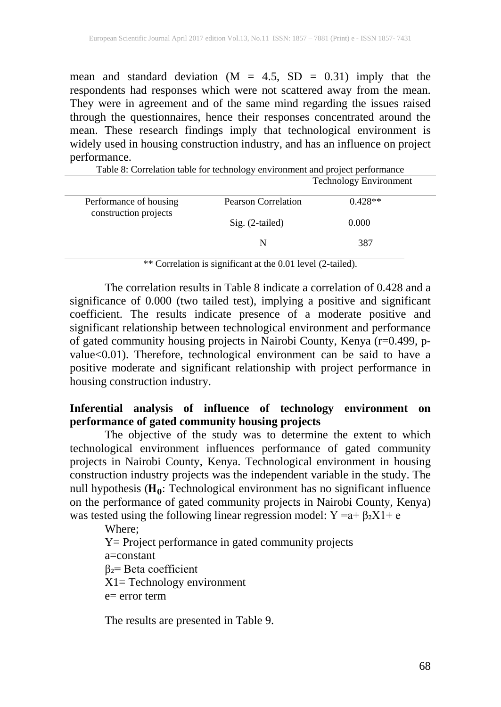mean and standard deviation  $(M = 4.5, SD = 0.31)$  imply that the respondents had responses which were not scattered away from the mean. They were in agreement and of the same mind regarding the issues raised through the questionnaires, hence their responses concentrated around the mean. These research findings imply that technological environment is widely used in housing construction industry, and has an influence on project performance.

Table 8: Correlation table for technology environment and project performance Technology Environment Performance of housing construction projects Pearson Correlation 0.428<sup>\*\*</sup> Sig. (2-tailed) 0.000 N 387

\*\* Correlation is significant at the 0.01 level (2-tailed).

The correlation results in Table 8 indicate a correlation of 0.428 and a significance of 0.000 (two tailed test), implying a positive and significant coefficient. The results indicate presence of a moderate positive and significant relationship between technological environment and performance of gated community housing projects in Nairobi County, Kenya (r=0.499, pvalue<0.01). Therefore, technological environment can be said to have a positive moderate and significant relationship with project performance in housing construction industry.

## **Inferential analysis of influence of technology environment on performance of gated community housing projects**

The objective of the study was to determine the extent to which technological environment influences performance of gated community projects in Nairobi County, Kenya. Technological environment in housing construction industry projects was the independent variable in the study. The null hypothesis  $(H_0:$  Technological environment has no significant influence on the performance of gated community projects in Nairobi County, Kenya) was tested using the following linear regression model:  $Y = a + \beta_2 X1 + e$ 

Where; Y= Project performance in gated community projects a=constant β₂= Beta coefficient X1= Technology environment  $e=$  error term

The results are presented in Table 9.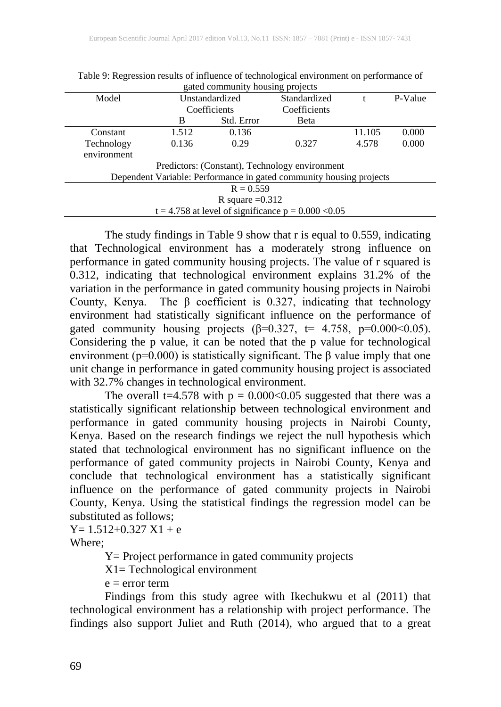|             | gated community housing projects |                |                                                                     |        |         |  |  |
|-------------|----------------------------------|----------------|---------------------------------------------------------------------|--------|---------|--|--|
| Model       |                                  | Unstandardized | Standardized                                                        |        | P-Value |  |  |
|             |                                  | Coefficients   | Coefficients                                                        |        |         |  |  |
|             | B                                | Std. Error     | Beta                                                                |        |         |  |  |
| Constant    | 1.512                            | 0.136          |                                                                     | 11.105 | 0.000   |  |  |
| Technology  | 0.136                            | 0.29           | 0.327                                                               | 4.578  | 0.000   |  |  |
| environment |                                  |                |                                                                     |        |         |  |  |
|             |                                  |                | Predictors: (Constant), Technology environment                      |        |         |  |  |
|             |                                  |                | Dependent Variable: Performance in gated community housing projects |        |         |  |  |
|             | $R = 0.559$                      |                |                                                                     |        |         |  |  |
|             | R square $=0.312$                |                |                                                                     |        |         |  |  |
|             |                                  |                | $t = 4.758$ at level of significance $p = 0.000 < 0.05$             |        |         |  |  |

Table 9: Regression results of influence of technological environment on performance of gated community housing projects

The study findings in Table 9 show that r is equal to 0.559, indicating that Technological environment has a moderately strong influence on performance in gated community housing projects. The value of r squared is 0.312, indicating that technological environment explains 31.2% of the variation in the performance in gated community housing projects in Nairobi County, Kenya. The  $\beta$  coefficient is 0.327, indicating that technology environment had statistically significant influence on the performance of gated community housing projects ( $\beta$ =0.327, t= 4.758, p=0.000<0.05). Considering the p value, it can be noted that the p value for technological environment (p=0.000) is statistically significant. The β value imply that one unit change in performance in gated community housing project is associated with 32.7% changes in technological environment.

The overall t=4.578 with  $p = 0.000 \le 0.05$  suggested that there was a statistically significant relationship between technological environment and performance in gated community housing projects in Nairobi County, Kenya. Based on the research findings we reject the null hypothesis which stated that technological environment has no significant influence on the performance of gated community projects in Nairobi County, Kenya and conclude that technological environment has a statistically significant influence on the performance of gated community projects in Nairobi County, Kenya. Using the statistical findings the regression model can be substituted as follows;

 $Y= 1.512+0.327 X1 + e$ 

Where;

Y= Project performance in gated community projects

X1= Technological environment

 $e = error term$ 

Findings from this study agree with Ikechukwu et al (2011) that technological environment has a relationship with project performance. The findings also support Juliet and Ruth (2014), who argued that to a great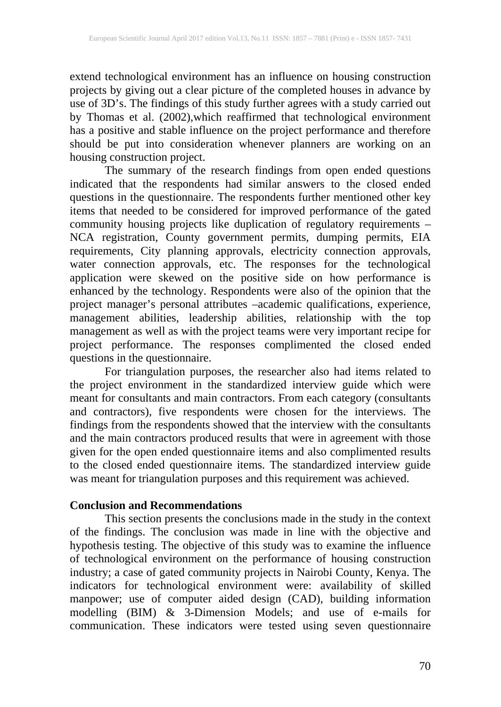extend technological environment has an influence on housing construction projects by giving out a clear picture of the completed houses in advance by use of 3D's. The findings of this study further agrees with a study carried out by Thomas et al. (2002),which reaffirmed that technological environment has a positive and stable influence on the project performance and therefore should be put into consideration whenever planners are working on an housing construction project.

The summary of the research findings from open ended questions indicated that the respondents had similar answers to the closed ended questions in the questionnaire. The respondents further mentioned other key items that needed to be considered for improved performance of the gated community housing projects like duplication of regulatory requirements – NCA registration, County government permits, dumping permits, EIA requirements, City planning approvals, electricity connection approvals, water connection approvals, etc. The responses for the technological application were skewed on the positive side on how performance is enhanced by the technology. Respondents were also of the opinion that the project manager's personal attributes –academic qualifications, experience, management abilities, leadership abilities, relationship with the top management as well as with the project teams were very important recipe for project performance. The responses complimented the closed ended questions in the questionnaire.

For triangulation purposes, the researcher also had items related to the project environment in the standardized interview guide which were meant for consultants and main contractors. From each category (consultants and contractors), five respondents were chosen for the interviews. The findings from the respondents showed that the interview with the consultants and the main contractors produced results that were in agreement with those given for the open ended questionnaire items and also complimented results to the closed ended questionnaire items. The standardized interview guide was meant for triangulation purposes and this requirement was achieved.

#### **Conclusion and Recommendations**

This section presents the conclusions made in the study in the context of the findings. The conclusion was made in line with the objective and hypothesis testing. The objective of this study was to examine the influence of technological environment on the performance of housing construction industry; a case of gated community projects in Nairobi County, Kenya. The indicators for technological environment were: availability of skilled manpower; use of computer aided design (CAD), building information modelling (BIM) & 3-Dimension Models; and use of e-mails for communication. These indicators were tested using seven questionnaire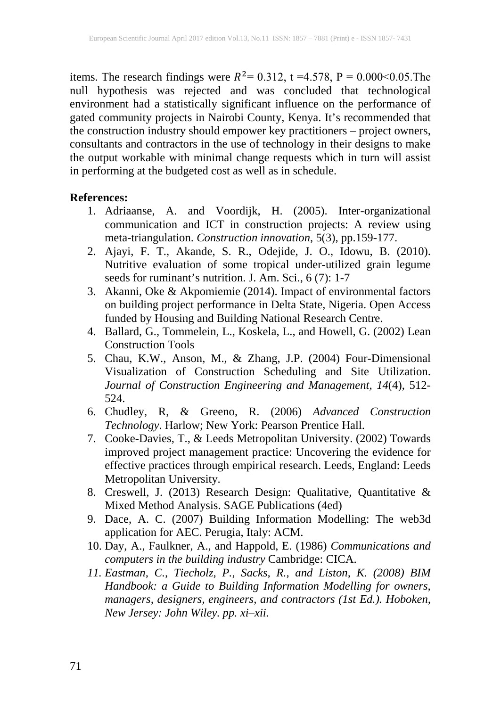items. The research findings were  $R^2 = 0.312$ , t =4.578, P = 0.000<0.05. The null hypothesis was rejected and was concluded that technological environment had a statistically significant influence on the performance of gated community projects in Nairobi County, Kenya. It's recommended that the construction industry should empower key practitioners – project owners, consultants and contractors in the use of technology in their designs to make the output workable with minimal change requests which in turn will assist in performing at the budgeted cost as well as in schedule.

#### **References:**

- 1. Adriaanse, A. and Voordijk, H. (2005). Inter-organizational communication and ICT in construction projects: A review using meta-triangulation. *Construction innovation*, 5(3), pp.159-177.
- 2. Ajayi, F. T., Akande, S. R., Odejide, J. O., Idowu, B. (2010). Nutritive evaluation of some tropical under-utilized grain legume seeds for ruminant's nutrition. J. Am. Sci., 6 (7): 1-7
- 3. Akanni, Oke & Akpomiemie (2014). Impact of environmental factors on building project performance in Delta State, Nigeria. Open Access funded by Housing and Building National Research Centre.
- 4. Ballard, G., Tommelein, L., Koskela, L., and Howell, G. (2002) Lean Construction Tools
- 5. Chau, K.W., Anson, M., & Zhang, J.P. (2004) Four-Dimensional Visualization of Construction Scheduling and Site Utilization. *Journal of Construction Engineering and Management, 14*(4), 512- 524.
- 6. Chudley, R, & Greeno, R. (2006) *Advanced Construction Technology*. Harlow; New York: Pearson Prentice Hall.
- 7. Cooke-Davies, T., & Leeds Metropolitan University. (2002) Towards improved project management practice: Uncovering the evidence for effective practices through empirical research. Leeds, England: Leeds Metropolitan University.
- 8. Creswell, J. (2013) Research Design: Qualitative, Quantitative & Mixed Method Analysis. SAGE Publications (4ed)
- 9. Dace, A. C. (2007) Building Information Modelling: The web3d application for AEC. Perugia, Italy: ACM.
- 10. Day, A., Faulkner, A., and Happold, E. (1986) *Communications and computers in the building industry* Cambridge: CICA.
- *11. Eastman, C., Tiecholz, P., Sacks, R., and Liston, K. (2008) BIM Handbook: a Guide to Building Information Modelling for owners, managers, designers, engineers, and contractors (1st Ed.). Hoboken, New Jersey: John Wiley. pp. xi–xii.*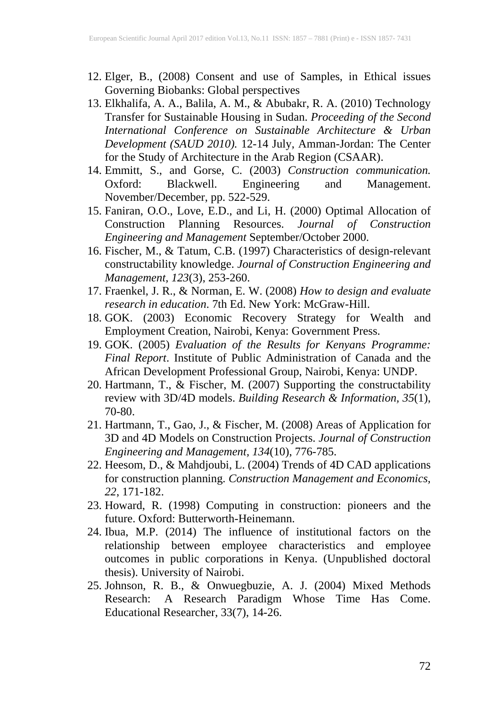- 12. Elger, B., (2008) Consent and use of Samples, in Ethical issues Governing Biobanks: Global perspectives
- 13. Elkhalifa, A. A., Balila, A. M., & Abubakr, R. A. (2010) Technology Transfer for Sustainable Housing in Sudan. *Proceeding of the Second International Conference on Sustainable Architecture & Urban Development (SAUD 2010).* 12-14 July, Amman-Jordan: The Center for the Study of Architecture in the Arab Region (CSAAR).
- 14. Emmitt, S., and Gorse, C. (2003) *Construction communication.* Oxford: Blackwell. Engineering and Management. November/December, pp. 522-529.
- 15. Faniran, O.O., Love, E.D., and Li, H. (2000) Optimal Allocation of Construction Planning Resources. *Journal of Construction Engineering and Management* September/October 2000.
- 16. Fischer, M., & Tatum, C.B. (1997) Characteristics of design-relevant constructability knowledge. *Journal of Construction Engineering and Management, 123*(3), 253-260.
- 17. Fraenkel, J. R., & Norman, E. W. (2008) *How to design and evaluate research in education*. 7th Ed. New York: McGraw-Hill.
- 18. GOK. (2003) Economic Recovery Strategy for Wealth and Employment Creation, Nairobi, Kenya: Government Press.
- 19. GOK. (2005) *Evaluation of the Results for Kenyans Programme: Final Report*. Institute of Public Administration of Canada and the African Development Professional Group, Nairobi, Kenya: UNDP.
- 20. Hartmann, T., & Fischer, M. (2007) Supporting the constructability review with 3D/4D models. *Building Research & Information, 35*(1), 70-80.
- 21. Hartmann, T., Gao, J., & Fischer, M. (2008) Areas of Application for 3D and 4D Models on Construction Projects. *Journal of Construction Engineering and Management, 134*(10), 776-785.
- 22. Heesom, D., & Mahdjoubi, L. (2004) Trends of 4D CAD applications for construction planning. *Construction Management and Economics, 22*, 171-182.
- 23. Howard, R. (1998) Computing in construction: pioneers and the future. Oxford: Butterworth-Heinemann.
- 24. Ibua, M.P. (2014) The influence of institutional factors on the relationship between employee characteristics and employee outcomes in public corporations in Kenya. (Unpublished doctoral thesis). University of Nairobi.
- 25. Johnson, R. B., & Onwuegbuzie, A. J. (2004) Mixed Methods Research: A Research Paradigm Whose Time Has Come. Educational Researcher, 33(7), 14-26.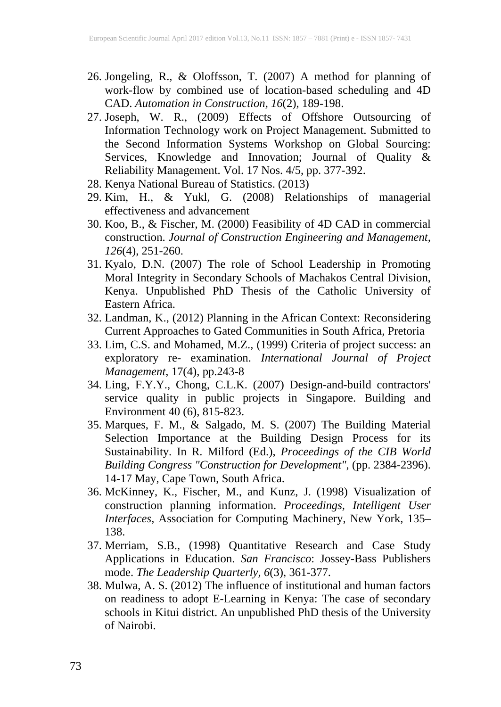- 26. Jongeling, R., & Oloffsson, T. (2007) A method for planning of work-flow by combined use of location-based scheduling and 4D CAD. *Automation in Construction, 16*(2), 189-198.
- 27. Joseph, W. R., (2009) Effects of Offshore Outsourcing of Information Technology work on Project Management. Submitted to the Second Information Systems Workshop on Global Sourcing: Services, Knowledge and Innovation; Journal of Quality & Reliability Management. Vol. 17 Nos. 4/5, pp. 377-392.
- 28. Kenya National Bureau of Statistics. (2013)
- 29. Kim, H., & Yukl, G. (2008) Relationships of managerial effectiveness and advancement
- 30. Koo, B., & Fischer, M. (2000) Feasibility of 4D CAD in commercial construction. *Journal of Construction Engineering and Management, 126*(4), 251-260.
- 31. Kyalo, D.N. (2007) The role of School Leadership in Promoting Moral Integrity in Secondary Schools of Machakos Central Division, Kenya. Unpublished PhD Thesis of the Catholic University of Eastern Africa.
- 32. Landman, K., (2012) Planning in the African Context: Reconsidering Current Approaches to Gated Communities in South Africa, Pretoria
- 33. Lim, C.S. and Mohamed, M.Z., (1999) Criteria of project success: an exploratory re- examination. *International Journal of Project Management*, 17(4), pp.243-8
- 34. Ling, F.Y.Y., Chong, C.L.K. (2007) Design-and-build contractors' service quality in public projects in Singapore. Building and Environment 40 (6), 815-823.
- 35. Marques, F. M., & Salgado, M. S. (2007) The Building Material Selection Importance at the Building Design Process for its Sustainability. In R. Milford (Ed.), *Proceedings of the CIB World Building Congress "Construction for Development"*, (pp. 2384-2396). 14-17 May, Cape Town, South Africa.
- 36. McKinney, K., Fischer, M., and Kunz, J. (1998) Visualization of construction planning information. *Proceedings, Intelligent User Interfaces*, Association for Computing Machinery, New York, 135– 138.
- 37. Merriam, S.B., (1998) Quantitative Research and Case Study Applications in Education. *San Francisco*: Jossey-Bass Publishers mode. *The Leadership Quarterly, 6*(3), 361-377.
- 38. Mulwa, A. S. (2012) The influence of institutional and human factors on readiness to adopt E-Learning in Kenya: The case of secondary schools in Kitui district. An unpublished PhD thesis of the University of Nairobi.